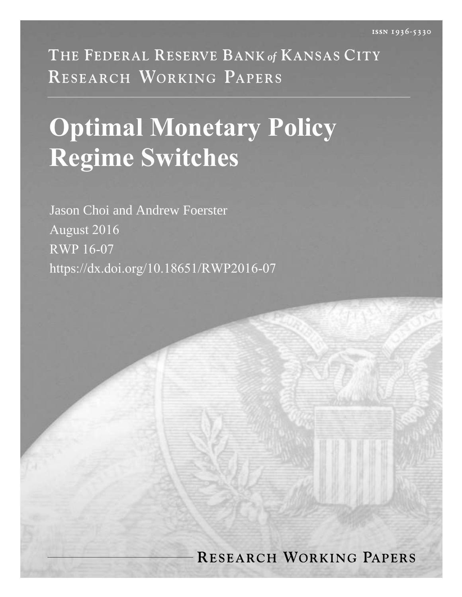THE FEDERAL RESERVE BANK of KANSAS CITY RESEARCH WORKING PAPERS

# **Optimal Monetary Policy Regime Switches**

Jason Choi and Andrew Foerster August 2016 RWP 16-07 https://dx.doi.org/10.18651/RWP2016-07

# **RESEARCH WORKING PAPERS**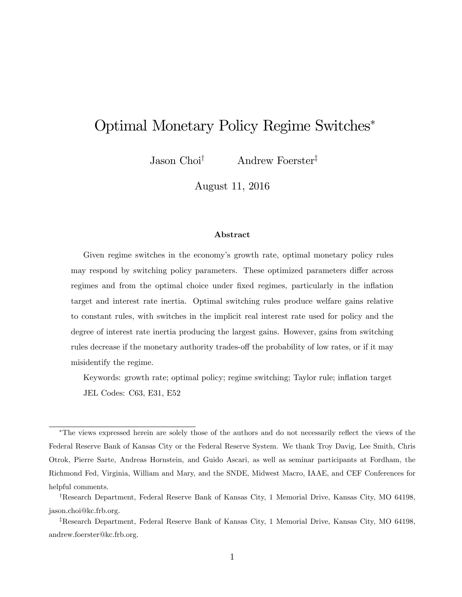# Optimal Monetary Policy Regime Switches

Jason Choi<sup>†</sup> Andrew Foerster<sup>‡</sup>

August 11, 2016

#### Abstract

Given regime switches in the economyís growth rate, optimal monetary policy rules may respond by switching policy parameters. These optimized parameters differ across regimes and from the optimal choice under fixed regimes, particularly in the inflation target and interest rate inertia. Optimal switching rules produce welfare gains relative to constant rules, with switches in the implicit real interest rate used for policy and the degree of interest rate inertia producing the largest gains. However, gains from switching rules decrease if the monetary authority trades-off the probability of low rates, or if it may misidentify the regime.

Keywords: growth rate; optimal policy; regime switching; Taylor rule; ináation target JEL Codes: C63, E31, E52

<sup>&</sup>lt;sup>\*</sup>The views expressed herein are solely those of the authors and do not necessarily reflect the views of the Federal Reserve Bank of Kansas City or the Federal Reserve System. We thank Troy Davig, Lee Smith, Chris Otrok, Pierre Sarte, Andreas Hornstein, and Guido Ascari, as well as seminar participants at Fordham, the Richmond Fed, Virginia, William and Mary, and the SNDE, Midwest Macro, IAAE, and CEF Conferences for helpful comments.

<sup>&</sup>lt;sup>†</sup>Research Department, Federal Reserve Bank of Kansas City, 1 Memorial Drive, Kansas City, MO 64198, [jason.choi@kc.frb.org.](mailto:jason.choi@kc.frb.org)

<sup>&</sup>lt;sup>‡</sup>Research Department, Federal Reserve Bank of Kansas City, 1 Memorial Drive, Kansas City, MO 64198, [andrew.foerster@kc.frb.org.](mailto:andrew.foerster@kc.frb.org)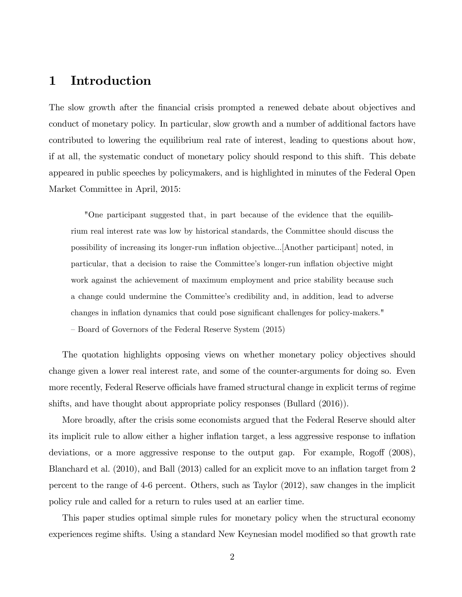# 1 Introduction

The slow growth after the financial crisis prompted a renewed debate about objectives and conduct of monetary policy. In particular, slow growth and a number of additional factors have contributed to lowering the equilibrium real rate of interest, leading to questions about how, if at all, the systematic conduct of monetary policy should respond to this shift. This debate appeared in public speeches by policymakers, and is highlighted in minutes of the Federal Open Market Committee in April, 2015:

"One participant suggested that, in part because of the evidence that the equilibrium real interest rate was low by historical standards, the Committee should discuss the possibility of increasing its longer-run ináation objective...[Another participant] noted, in particular, that a decision to raise the Committeeís longer-run ináation objective might work against the achievement of maximum employment and price stability because such a change could undermine the Committee's credibility and, in addition, lead to adverse changes in inflation dynamics that could pose significant challenges for policy-makers."

– Board of Governors of the Federal Reserve System [\(2015\)](#page-35-0)

The quotation highlights opposing views on whether monetary policy objectives should change given a lower real interest rate, and some of the counter-arguments for doing so. Even more recently, Federal Reserve officials have framed structural change in explicit terms of regime shifts, and have thought about appropriate policy responses [\(Bullard](#page-35-1) [\(2016\)](#page-35-1)).

More broadly, after the crisis some economists argued that the Federal Reserve should alter its implicit rule to allow either a higher inflation target, a less aggressive response to inflation deviations, or a more aggressive response to the output gap. For example, Rogoff [\(2008\)](#page-36-0), [Blanchard et al.](#page-35-2) [\(2010\)](#page-35-2), and [Ball](#page-35-3) [\(2013\)](#page-35-3) called for an explicit move to an inflation target from 2 percent to the range of 4-6 percent. Others, such as [Taylor](#page-37-0) [\(2012\)](#page-37-0), saw changes in the implicit policy rule and called for a return to rules used at an earlier time.

This paper studies optimal simple rules for monetary policy when the structural economy experiences regime shifts. Using a standard New Keynesian model modified so that growth rate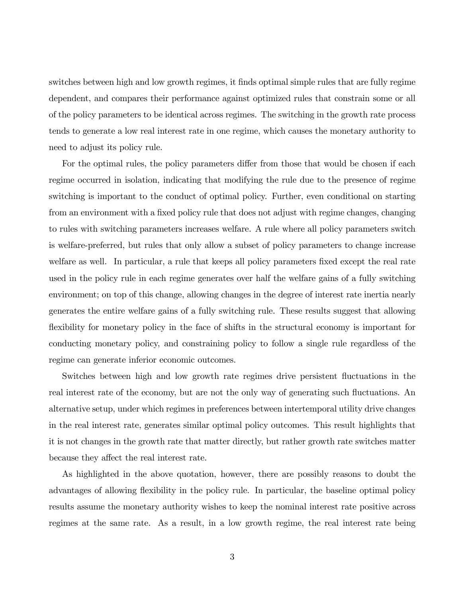switches between high and low growth regimes, it finds optimal simple rules that are fully regime dependent, and compares their performance against optimized rules that constrain some or all of the policy parameters to be identical across regimes. The switching in the growth rate process tends to generate a low real interest rate in one regime, which causes the monetary authority to need to adjust its policy rule.

For the optimal rules, the policy parameters differ from those that would be chosen if each regime occurred in isolation, indicating that modifying the rule due to the presence of regime switching is important to the conduct of optimal policy. Further, even conditional on starting from an environment with a fixed policy rule that does not adjust with regime changes, changing to rules with switching parameters increases welfare. A rule where all policy parameters switch is welfare-preferred, but rules that only allow a subset of policy parameters to change increase welfare as well. In particular, a rule that keeps all policy parameters fixed except the real rate used in the policy rule in each regime generates over half the welfare gains of a fully switching environment; on top of this change, allowing changes in the degree of interest rate inertia nearly generates the entire welfare gains of a fully switching rule. These results suggest that allowing flexibility for monetary policy in the face of shifts in the structural economy is important for conducting monetary policy, and constraining policy to follow a single rule regardless of the regime can generate inferior economic outcomes.

Switches between high and low growth rate regimes drive persistent fluctuations in the real interest rate of the economy, but are not the only way of generating such fluctuations. An alternative setup, under which regimes in preferences between intertemporal utility drive changes in the real interest rate, generates similar optimal policy outcomes. This result highlights that it is not changes in the growth rate that matter directly, but rather growth rate switches matter because they affect the real interest rate.

As highlighted in the above quotation, however, there are possibly reasons to doubt the advantages of allowing flexibility in the policy rule. In particular, the baseline optimal policy results assume the monetary authority wishes to keep the nominal interest rate positive across regimes at the same rate. As a result, in a low growth regime, the real interest rate being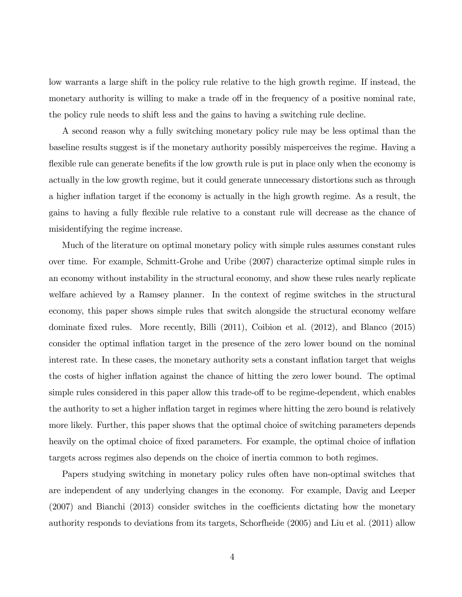low warrants a large shift in the policy rule relative to the high growth regime. If instead, the monetary authority is willing to make a trade off in the frequency of a positive nominal rate, the policy rule needs to shift less and the gains to having a switching rule decline.

A second reason why a fully switching monetary policy rule may be less optimal than the baseline results suggest is if the monetary authority possibly misperceives the regime. Having a flexible rule can generate benefits if the low growth rule is put in place only when the economy is actually in the low growth regime, but it could generate unnecessary distortions such as through a higher inflation target if the economy is actually in the high growth regime. As a result, the gains to having a fully flexible rule relative to a constant rule will decrease as the chance of misidentifying the regime increase.

Much of the literature on optimal monetary policy with simple rules assumes constant rules over time. For example, [Schmitt-Grohe and Uribe](#page-36-1) [\(2007\)](#page-36-1) characterize optimal simple rules in an economy without instability in the structural economy, and show these rules nearly replicate welfare achieved by a Ramsey planner. In the context of regime switches in the structural economy, this paper shows simple rules that switch alongside the structural economy welfare dominate fixed rules. More recently, [Billi](#page-35-4) [\(2011\)](#page-35-4), [Coibion et al.](#page-35-5) [\(2012\)](#page-35-5), and [Blanco](#page-35-6) [\(2015\)](#page-35-6) consider the optimal ináation target in the presence of the zero lower bound on the nominal interest rate. In these cases, the monetary authority sets a constant inflation target that weighs the costs of higher inflation against the chance of hitting the zero lower bound. The optimal simple rules considered in this paper allow this trade-off to be regime-dependent, which enables the authority to set a higher inflation target in regimes where hitting the zero bound is relatively more likely. Further, this paper shows that the optimal choice of switching parameters depends heavily on the optimal choice of fixed parameters. For example, the optimal choice of inflation targets across regimes also depends on the choice of inertia common to both regimes.

Papers studying switching in monetary policy rules often have non-optimal switches that are independent of any underlying changes in the economy. For example, [Davig and Leeper](#page-35-7)  $(2007)$  and [Bianchi](#page-35-8)  $(2013)$  consider switches in the coefficients dictating how the monetary authority responds to deviations from its targets, [Schorfheide](#page-37-1) [\(2005\)](#page-37-1) and [Liu et al.](#page-36-2) [\(2011\)](#page-36-2) allow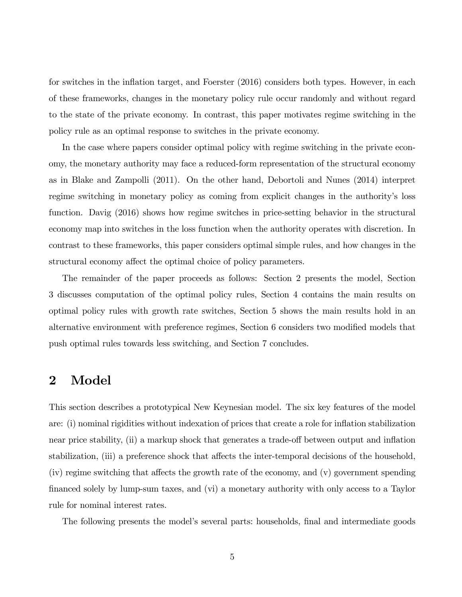for switches in the inflation target, and [Foerster](#page-36-3) [\(2016\)](#page-36-3) considers both types. However, in each of these frameworks, changes in the monetary policy rule occur randomly and without regard to the state of the private economy. In contrast, this paper motivates regime switching in the policy rule as an optimal response to switches in the private economy.

In the case where papers consider optimal policy with regime switching in the private economy, the monetary authority may face a reduced-form representation of the structural economy as in [Blake and Zampolli](#page-35-9) [\(2011\)](#page-35-9). On the other hand, [Debortoli and Nunes](#page-36-4) [\(2014\)](#page-36-4) interpret regime switching in monetary policy as coming from explicit changes in the authority's loss function. [Davig](#page-35-10) [\(2016\)](#page-35-10) shows how regime switches in price-setting behavior in the structural economy map into switches in the loss function when the authority operates with discretion. In contrast to these frameworks, this paper considers optimal simple rules, and how changes in the structural economy affect the optimal choice of policy parameters.

The remainder of the paper proceeds as follows: Section [2](#page-5-0) presents the model, Section [3](#page-9-0) discusses computation of the optimal policy rules, Section [4](#page-15-0) contains the main results on optimal policy rules with growth rate switches, Section [5](#page-23-0) shows the main results hold in an alternative environment with preference regimes, Section  $6$  considers two modified models that push optimal rules towards less switching, and Section [7](#page-34-0) concludes.

## <span id="page-5-0"></span>2 Model

This section describes a prototypical New Keynesian model. The six key features of the model are: (i) nominal rigidities without indexation of prices that create a role for inflation stabilization near price stability, (ii) a markup shock that generates a trade-off between output and inflation stabilization, (iii) a preference shock that affects the inter-temporal decisions of the household,  $(iv)$  regime switching that affects the growth rate of the economy, and  $(v)$  government spending financed solely by lump-sum taxes, and (vi) a monetary authority with only access to a Taylor rule for nominal interest rates.

The following presents the model's several parts: households, final and intermediate goods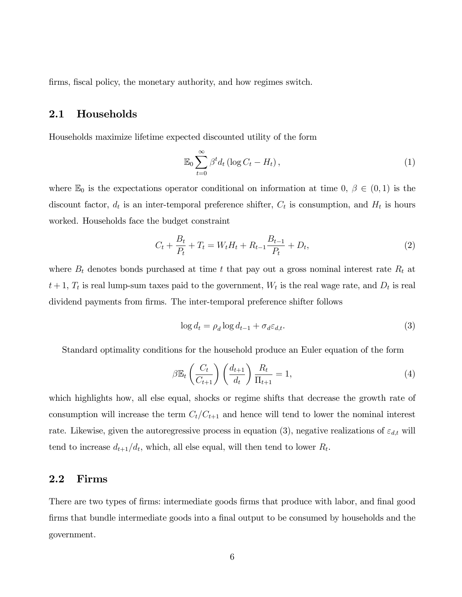firms, fiscal policy, the monetary authority, and how regimes switch.

#### 2.1 Households

Households maximize lifetime expected discounted utility of the form

$$
\mathbb{E}_0 \sum_{t=0}^{\infty} \beta^t d_t \left( \log C_t - H_t \right), \tag{1}
$$

where  $\mathbb{E}_0$  is the expectations operator conditional on information at time 0,  $\beta \in (0,1)$  is the discount factor,  $d_t$  is an inter-temporal preference shifter,  $C_t$  is consumption, and  $H_t$  is hours worked. Households face the budget constraint

$$
C_t + \frac{B_t}{P_t} + T_t = W_t H_t + R_{t-1} \frac{B_{t-1}}{P_t} + D_t,
$$
\n(2)

where  $B_t$  denotes bonds purchased at time t that pay out a gross nominal interest rate  $R_t$  at  $t+1$ ,  $T_t$  is real lump-sum taxes paid to the government,  $W_t$  is the real wage rate, and  $D_t$  is real dividend payments from firms. The inter-temporal preference shifter follows

<span id="page-6-0"></span>
$$
\log d_t = \rho_d \log d_{t-1} + \sigma_d \varepsilon_{d,t}.
$$
\n(3)

Standard optimality conditions for the household produce an Euler equation of the form

<span id="page-6-1"></span>
$$
\beta \mathbb{E}_t \left( \frac{C_t}{C_{t+1}} \right) \left( \frac{d_{t+1}}{d_t} \right) \frac{R_t}{\Pi_{t+1}} = 1, \tag{4}
$$

which highlights how, all else equal, shocks or regime shifts that decrease the growth rate of consumption will increase the term  $C_t/C_{t+1}$  and hence will tend to lower the nominal interest rate. Likewise, given the autoregressive process in equation [\(3\)](#page-6-0), negative realizations of  $\varepsilon_{d,t}$  will tend to increase  $d_{t+1}/d_t$ , which, all else equal, will then tend to lower  $R_t$ .

#### 2.2 Firms

There are two types of firms: intermediate goods firms that produce with labor, and final good firms that bundle intermediate goods into a final output to be consumed by households and the government.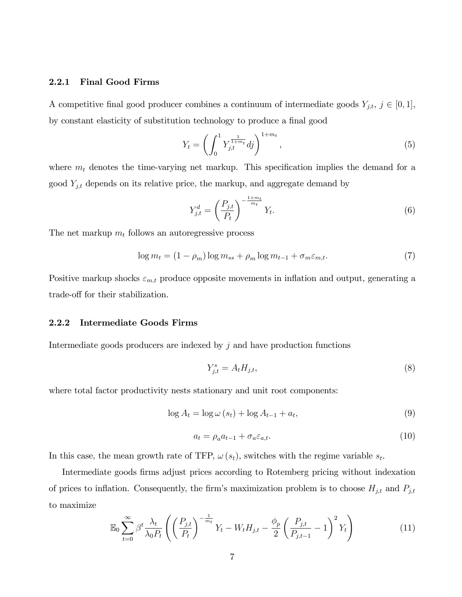#### 2.2.1 Final Good Firms

A competitive final good producer combines a continuum of intermediate goods  $Y_{j,t}, j \in [0,1],$ by constant elasticity of substitution technology to produce a final good

$$
Y_t = \left(\int_0^1 Y_{j,t}^{\frac{1}{1+m_t}} df\right)^{1+m_t},\tag{5}
$$

where  $m_t$  denotes the time-varying net markup. This specification implies the demand for a good  $Y_{j,t}$  depends on its relative price, the markup, and aggregate demand by

<span id="page-7-1"></span>
$$
Y_{j,t}^d = \left(\frac{P_{j,t}}{P_t}\right)^{-\frac{1+m_t}{m_t}} Y_t.
$$
\n
$$
(6)
$$

The net markup  $m_t$  follows an autoregressive process

$$
\log m_t = (1 - \rho_m) \log m_{ss} + \rho_m \log m_{t-1} + \sigma_m \varepsilon_{m,t}.
$$
\n<sup>(7)</sup>

Positive markup shocks  $\varepsilon_{m,t}$  produce opposite movements in inflation and output, generating a trade-off for their stabilization.

#### 2.2.2 Intermediate Goods Firms

Intermediate goods producers are indexed by  $j$  and have production functions

<span id="page-7-0"></span>
$$
Y_{j,t}^s = A_t H_{j,t},\tag{8}
$$

where total factor productivity nests stationary and unit root components:

<span id="page-7-2"></span>
$$
\log A_t = \log \omega (s_t) + \log A_{t-1} + a_t,
$$
\n(9)

$$
a_t = \rho_a a_{t-1} + \sigma_a \varepsilon_{a,t}.\tag{10}
$$

In this case, the mean growth rate of TFP,  $\omega(s_t)$ , switches with the regime variable  $s_t$ .

Intermediate goods Örms adjust prices according to Rotemberg pricing without indexation of prices to inflation. Consequently, the firm's maximization problem is to choose  $H_{j,t}$  and  $P_{j,t}$ to maximize

$$
\mathbb{E}_0 \sum_{t=0}^{\infty} \beta^t \frac{\lambda_t}{\lambda_0 P_t} \left( \left( \frac{P_{j,t}}{P_t} \right)^{-\frac{1}{m_t}} Y_t - W_t H_{j,t} - \frac{\phi_p}{2} \left( \frac{P_{j,t}}{P_{j,t-1}} - 1 \right)^2 Y_t \right)
$$
(11)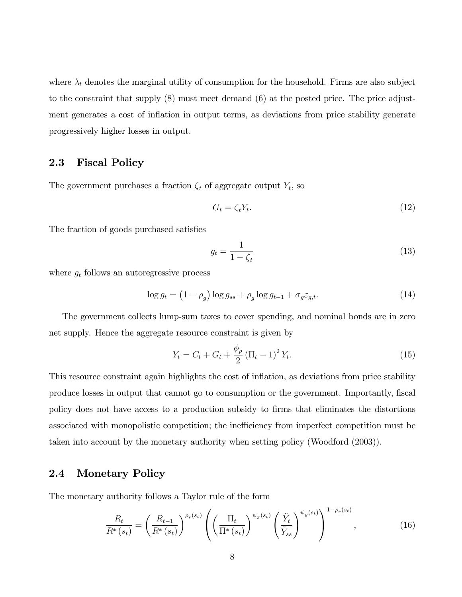where  $\lambda_t$  denotes the marginal utility of consumption for the household. Firms are also subject to the constraint that supply [\(8\)](#page-7-0) must meet demand [\(6\)](#page-7-1) at the posted price. The price adjustment generates a cost of ináation in output terms, as deviations from price stability generate progressively higher losses in output.

#### 2.3 Fiscal Policy

The government purchases a fraction  $\zeta_t$  of aggregate output  $Y_t$ , so

$$
G_t = \zeta_t Y_t. \tag{12}
$$

The fraction of goods purchased satisfies

$$
g_t = \frac{1}{1 - \zeta_t} \tag{13}
$$

where  $g_t$  follows an autoregressive process

$$
\log g_t = \left(1 - \rho_g\right) \log g_{ss} + \rho_g \log g_{t-1} + \sigma_g \varepsilon_{g,t}.\tag{14}
$$

The government collects lump-sum taxes to cover spending, and nominal bonds are in zero net supply. Hence the aggregate resource constraint is given by

<span id="page-8-1"></span>
$$
Y_t = C_t + G_t + \frac{\phi_p}{2} (\Pi_t - 1)^2 Y_t.
$$
 (15)

This resource constraint again highlights the cost of inflation, as deviations from price stability produce losses in output that cannot go to consumption or the government. Importantly, fiscal policy does not have access to a production subsidy to Örms that eliminates the distortions associated with monopolistic competition; the inefficiency from imperfect competition must be taken into account by the monetary authority when setting policy [\(Woodford](#page-37-2) [\(2003\)](#page-37-2)).

#### 2.4 Monetary Policy

The monetary authority follows a Taylor rule of the form

<span id="page-8-0"></span>
$$
\frac{R_t}{R^*(s_t)} = \left(\frac{R_{t-1}}{R^*(s_t)}\right)^{\rho_r(s_t)} \left(\left(\frac{\Pi_t}{\Pi^*(s_t)}\right)^{\psi_\pi(s_t)} \left(\frac{\tilde{Y}_t}{\tilde{Y}_{ss}}\right)^{\psi_y(s_t)}\right)^{1-\rho_r(s_t)},\tag{16}
$$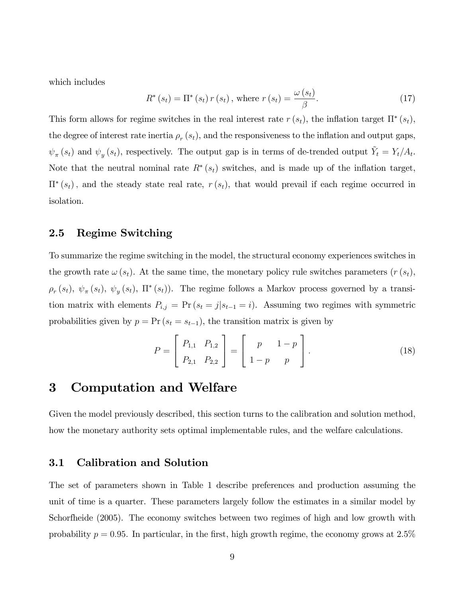which includes

<span id="page-9-1"></span>
$$
R^*(s_t) = \Pi^*(s_t) r(s_t), \text{ where } r(s_t) = \frac{\omega(s_t)}{\beta}.
$$
 (17)

This form allows for regime switches in the real interest rate  $r(s_t)$ , the inflation target  $\Pi^*(s_t)$ , the degree of interest rate inertia  $\rho_r(s_t)$ , and the responsiveness to the inflation and output gaps,  $\psi_{\pi}(s_t)$  and  $\psi_y(s_t)$ , respectively. The output gap is in terms of de-trended output  $\tilde{Y}_t = Y_t/A_t$ . Note that the neutral nominal rate  $R^*(s_t)$  switches, and is made up of the inflation target,  $\Pi^*(s_t)$ , and the steady state real rate,  $r(s_t)$ , that would prevail if each regime occurred in isolation.

#### 2.5 Regime Switching

To summarize the regime switching in the model, the structural economy experiences switches in the growth rate  $\omega(s_t)$ . At the same time, the monetary policy rule switches parameters  $(r(s_t),$  $\rho_r(s_t)$ ,  $\psi_\pi(s_t)$ ,  $\psi_y(s_t)$ ,  $\Pi^*(s_t)$ ). The regime follows a Markov process governed by a transition matrix with elements  $P_{i,j} = \Pr(s_t = j | s_{t-1} = i)$ . Assuming two regimes with symmetric probabilities given by  $p = Pr(s_t = s_{t-1})$ , the transition matrix is given by

$$
P = \begin{bmatrix} P_{1,1} & P_{1,2} \\ P_{2,1} & P_{2,2} \end{bmatrix} = \begin{bmatrix} p & 1-p \\ 1-p & p \end{bmatrix}.
$$
 (18)

## <span id="page-9-0"></span>3 Computation and Welfare

Given the model previously described, this section turns to the calibration and solution method, how the monetary authority sets optimal implementable rules, and the welfare calculations.

#### 3.1 Calibration and Solution

The set of parameters shown in Table [1](#page-10-0) describe preferences and production assuming the unit of time is a quarter. These parameters largely follow the estimates in a similar model by [Schorfheide](#page-37-1) [\(2005\)](#page-37-1). The economy switches between two regimes of high and low growth with probability  $p = 0.95$ . In particular, in the first, high growth regime, the economy grows at 2.5%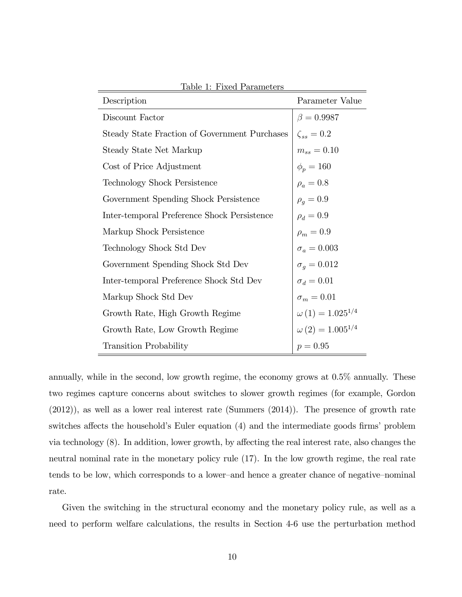| <u>rable 1. Fixed I alameters</u>             |                           |
|-----------------------------------------------|---------------------------|
| Description                                   | Parameter Value           |
| Discount Factor                               | $\beta = 0.9987$          |
| Steady State Fraction of Government Purchases | $\zeta_{ss}=0.2$          |
| Steady State Net Markup                       | $m_{ss} = 0.10$           |
| Cost of Price Adjustment                      | $\phi_p = 160$            |
| <b>Technology Shock Persistence</b>           | $\rho_a = 0.8$            |
| Government Spending Shock Persistence         | $\rho_q = 0.9$            |
| Inter-temporal Preference Shock Persistence   | $\rho_d = 0.9$            |
| Markup Shock Persistence                      | $\rho_m = 0.9$            |
| Technology Shock Std Dev                      | $\sigma_a = 0.003$        |
| Government Spending Shock Std Dev             | $\sigma_g = 0.012$        |
| Inter-temporal Preference Shock Std Dev       | $\sigma_d = 0.01$         |
| Markup Shock Std Dev                          | $\sigma_m = 0.01$         |
| Growth Rate, High Growth Regime               | $\omega(1) = 1.025^{1/4}$ |
| Growth Rate, Low Growth Regime                | $\omega(2) = 1.005^{1/4}$ |
| <b>Transition Probability</b>                 | $p = 0.95$                |

<span id="page-10-0"></span>Table 1: Fixed Parameters

annually, while in the second, low growth regime, the economy grows at 0.5% annually. These two regimes capture concerns about switches to slower growth regimes (for example, [Gordon](#page-36-5) [\(2012\)](#page-36-5)), as well as a lower real interest rate [\(Summers](#page-37-3) [\(2014\)](#page-37-3)). The presence of growth rate switches affects the household's Euler equation [\(4\)](#page-6-1) and the intermediate goods firms' problem via technology  $(8)$ . In addition, lower growth, by affecting the real interest rate, also changes the neutral nominal rate in the monetary policy rule [\(17\)](#page-9-1). In the low growth regime, the real rate tends to be low, which corresponds to a lower-and hence a greater chance of negative-nominal rate.

Given the switching in the structural economy and the monetary policy rule, as well as a need to perform welfare calculations, the results in Section [4-](#page-15-0)[6](#page-27-0) use the perturbation method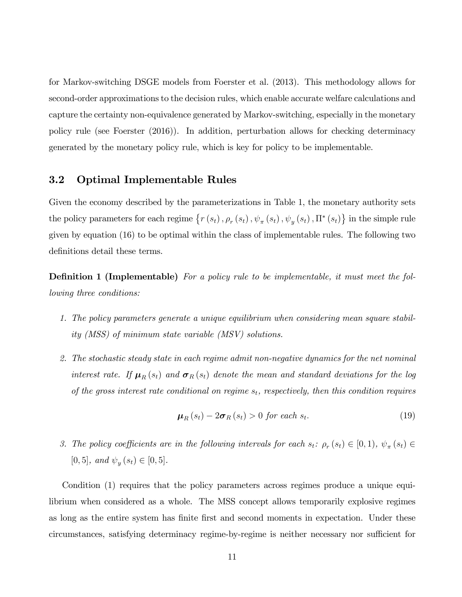for Markov-switching DSGE models from [Foerster et al.](#page-36-6) [\(2013\)](#page-36-6). This methodology allows for second-order approximations to the decision rules, which enable accurate welfare calculations and capture the certainty non-equivalence generated by Markov-switching, especially in the monetary policy rule (see [Foerster](#page-36-3) [\(2016\)](#page-36-3)). In addition, perturbation allows for checking determinacy generated by the monetary policy rule, which is key for policy to be implementable.

#### 3.2 Optimal Implementable Rules

Given the economy described by the parameterizations in Table [1,](#page-10-0) the monetary authority sets the policy parameters for each regime  $\{r(s_t), \rho_r(s_t), \psi_\pi(s_t), \psi_y(s_t), \Pi^*(s_t)\}\$ in the simple rule given by equation [\(16\)](#page-8-0) to be optimal within the class of implementable rules. The following two definitions detail these terms.

**Definition 1 (Implementable)** For a policy rule to be implementable, it must meet the following three conditions:

- 1. The policy parameters generate a unique equilibrium when considering mean square stability (MSS) of minimum state variable (MSV) solutions.
- 2. The stochastic steady state in each regime admit non-negative dynamics for the net nominal interest rate. If  $\mu_R(s_t)$  and  $\sigma_R(s_t)$  denote the mean and standard deviations for the log of the gross interest rate conditional on regime  $s_t$ , respectively, then this condition requires

$$
\mu_R(s_t) - 2\sigma_R(s_t) > 0 \text{ for each } s_t.
$$
\n(19)

3. The policy coefficients are in the following intervals for each  $s_t$ :  $\rho_r(s_t) \in [0,1)$ ,  $\psi_\pi(s_t) \in$  $[0,5]$ , and  $\psi_y(s_t) \in [0,5]$ .

Condition (1) requires that the policy parameters across regimes produce a unique equilibrium when considered as a whole. The MSS concept allows temporarily explosive regimes as long as the entire system has finite first and second moments in expectation. Under these circumstances, satisfying determinacy regime-by-regime is neither necessary nor sufficient for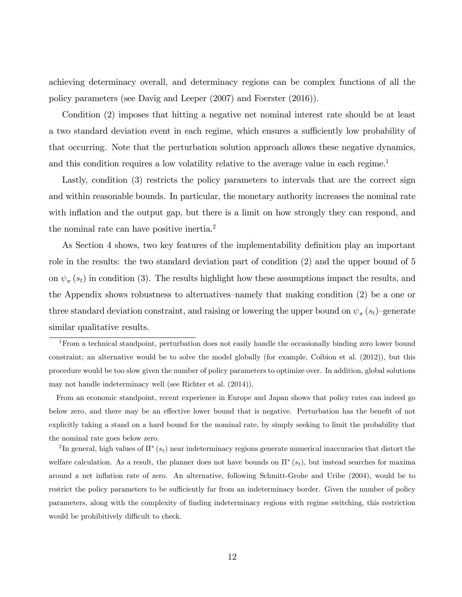achieving determinacy overall, and determinacy regions can be complex functions of all the policy parameters (see [Davig and Leeper](#page-35-7) [\(2007\)](#page-35-7) and [Foerster](#page-36-3) [\(2016\)](#page-36-3)).

Condition (2) imposes that hitting a negative net nominal interest rate should be at least a two standard deviation event in each regime, which ensures a sufficiently low probability of that occurring. Note that the perturbation solution approach allows these negative dynamics, and this condition requires a low volatility relative to the average value in each regime.<sup>[1](#page-12-0)</sup>

Lastly, condition (3) restricts the policy parameters to intervals that are the correct sign and within reasonable bounds. In particular, the monetary authority increases the nominal rate with inflation and the output gap, but there is a limit on how strongly they can respond, and the nominal rate can have positive inertia.<sup>[2](#page-12-1)</sup>

As Section [4](#page-15-0) shows, two key features of the implementability definition play an important role in the results: the two standard deviation part of condition (2) and the upper bound of 5 on  $\psi_{\pi}(s_t)$  in condition (3). The results highlight how these assumptions impact the results, and the Appendix shows robustness to alternatives–namely that making condition  $(2)$  be a one or three standard deviation constraint, and raising or lowering the upper bound on  $\psi_{\pi}(s_t)$ -generate similar qualitative results.

From an economic standpoint, recent experience in Europe and Japan shows that policy rates can indeed go below zero, and there may be an effective lower bound that is negative. Perturbation has the benefit of not explicitly taking a stand on a hard bound for the nominal rate, by simply seeking to limit the probability that the nominal rate goes below zero.

<span id="page-12-1"></span><sup>2</sup>In general, high values of  $\Pi^*(s_t)$  near indeterminacy regions generate numerical inaccuracies that distort the welfare calculation. As a result, the planner does not have bounds on  $\Pi^*(s_t)$ , but instead searches for maxima around a net ináation rate of zero. An alternative, following [Schmitt-Grohe and Uribe](#page-36-8) [\(2004\)](#page-36-8), would be to restrict the policy parameters to be sufficiently far from an indeterminacy border. Given the number of policy parameters, along with the complexity of Önding indeterminacy regions with regime switching, this restriction would be prohibitively difficult to check.

<span id="page-12-0"></span><sup>&</sup>lt;sup>1</sup>From a technical standpoint, perturbation does not easily handle the occasionally binding zero lower bound constraint; an alternative would be to solve the model globally (for example, [Coibion et al.](#page-35-5) [\(2012\)](#page-35-5)), but this procedure would be too slow given the number of policy parameters to optimize over. In addition, global solutions may not handle indeterminacy well (see [Richter et al.](#page-36-7) [\(2014\)](#page-36-7)).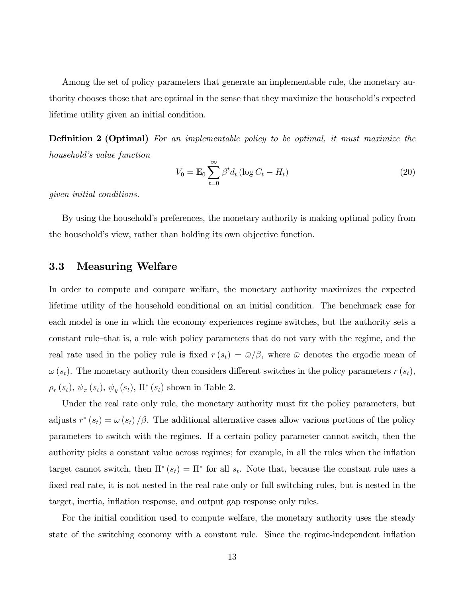Among the set of policy parameters that generate an implementable rule, the monetary authority chooses those that are optimal in the sense that they maximize the household's expected lifetime utility given an initial condition.

**Definition 2 (Optimal)** For an implementable policy to be optimal, it must maximize the household's value function

$$
V_0 = \mathbb{E}_0 \sum_{t=0}^{\infty} \beta^t d_t \left( \log C_t - H_t \right) \tag{20}
$$

given initial conditions.

By using the household's preferences, the monetary authority is making optimal policy from the householdís view, rather than holding its own objective function.

#### 3.3 Measuring Welfare

In order to compute and compare welfare, the monetary authority maximizes the expected lifetime utility of the household conditional on an initial condition. The benchmark case for each model is one in which the economy experiences regime switches, but the authority sets a constant rule-that is, a rule with policy parameters that do not vary with the regime, and the real rate used in the policy rule is fixed  $r(s_t) = \bar{\omega}/\beta$ , where  $\bar{\omega}$  denotes the ergodic mean of  $\omega(s_t)$ . The monetary authority then considers different switches in the policy parameters  $r(s_t)$ ,  $\rho_r(s_t), \psi_\pi(s_t), \psi_y(s_t), \Pi^*(s_t)$  shown in Table [2.](#page-14-0)

Under the real rate only rule, the monetary authority must fix the policy parameters, but adjusts  $r^*(s_t) = \omega(s_t)/\beta$ . The additional alternative cases allow various portions of the policy parameters to switch with the regimes. If a certain policy parameter cannot switch, then the authority picks a constant value across regimes; for example, in all the rules when the ináation target cannot switch, then  $\Pi^*(s_t) = \Pi^*$  for all  $s_t$ . Note that, because the constant rule uses a fixed real rate, it is not nested in the real rate only or full switching rules, but is nested in the target, inertia, inflation response, and output gap response only rules.

For the initial condition used to compute welfare, the monetary authority uses the steady state of the switching economy with a constant rule. Since the regime-independent ináation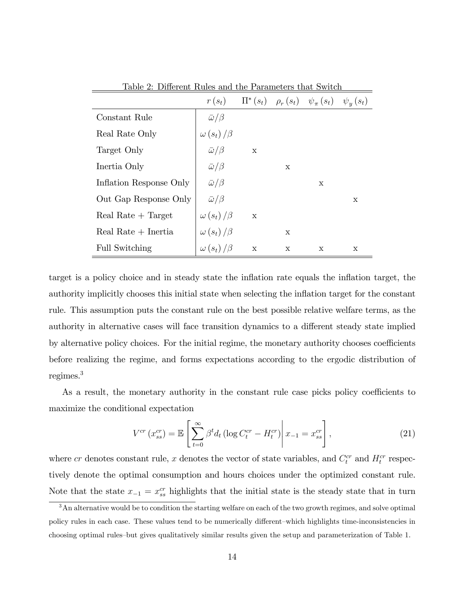|                         | $r(s_t)$             |             |   | $\Pi^*(s_t)$ $\rho_r(s_t)$ $\psi_\pi(s_t)$ $\psi_y(s_t)$ |   |
|-------------------------|----------------------|-------------|---|----------------------------------------------------------|---|
| Constant Rule           | $\bar{\omega}/\beta$ |             |   |                                                          |   |
| Real Rate Only          | $\omega(s_t)/\beta$  |             |   |                                                          |   |
| Target Only             | $\bar{\omega}/\beta$ | $\mathbf x$ |   |                                                          |   |
| Inertia Only            | $\bar{\omega}/\beta$ |             | X |                                                          |   |
| Inflation Response Only | $\bar{\omega}/\beta$ |             |   | X                                                        |   |
| Out Gap Response Only   | $\bar{\omega}/\beta$ |             |   |                                                          | X |
| Real Rate $+$ Target    | $\omega(s_t)/\beta$  | $\mathbf x$ |   |                                                          |   |
| Real Rate $+$ Inertia   | $\omega(s_t)/\beta$  |             | X |                                                          |   |
| <b>Full Switching</b>   | $\omega(s_t)/\beta$  | $\mathbf X$ | X | X                                                        | X |

<span id="page-14-0"></span>Table 2: Different Rules and the Parameters that Switch

target is a policy choice and in steady state the inflation rate equals the inflation target, the authority implicitly chooses this initial state when selecting the ináation target for the constant rule. This assumption puts the constant rule on the best possible relative welfare terms, as the authority in alternative cases will face transition dynamics to a different steady state implied by alternative policy choices. For the initial regime, the monetary authority chooses coefficients before realizing the regime, and forms expectations according to the ergodic distribution of regimes.[3](#page-14-1)

As a result, the monetary authority in the constant rule case picks policy coefficients to maximize the conditional expectation

$$
V^{cr}\left(x_{ss}^{cr}\right) = \mathbb{E}\left[\sum_{t=0}^{\infty} \beta^t d_t \left(\log C_t^{cr} - H_t^{cr}\right) \middle| x_{-1} = x_{ss}^{cr}\right],\tag{21}
$$

where cr denotes constant rule, x denotes the vector of state variables, and  $C_t^{cr}$  and  $H_t^{cr}$  respectively denote the optimal consumption and hours choices under the optimized constant rule. Note that the state  $x_{-1} = x_{ss}^{cr}$  highlights that the initial state is the steady state that in turn

<span id="page-14-1"></span><sup>3</sup>An alternative would be to condition the starting welfare on each of the two growth regimes, and solve optimal policy rules in each case. These values tend to be numerically different—which highlights time-inconsistencies in choosing optimal rules-but gives qualitatively similar results given the setup and parameterization of Table [1.](#page-10-0)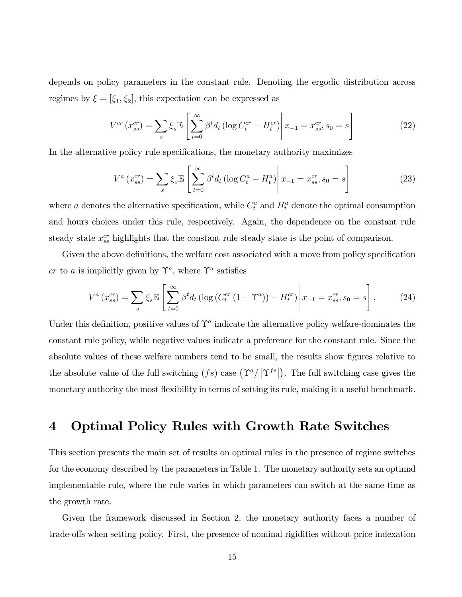depends on policy parameters in the constant rule. Denoting the ergodic distribution across regimes by  $\xi = [\xi_1, \xi_2]$ , this expectation can be expressed as

$$
V^{cr}(x_{ss}^{cr}) = \sum_{s} \xi_{s} \mathbb{E} \left[ \sum_{t=0}^{\infty} \beta^{t} d_{t} \left( \log C_{t}^{cr} - H_{t}^{cr} \right) \middle| x_{-1} = x_{ss}^{cr}, s_{0} = s \right]
$$
 (22)

In the alternative policy rule specifications, the monetary authority maximizes

$$
V^{a}(x_{ss}^{cr}) = \sum_{s} \xi_{s} \mathbb{E} \left[ \sum_{t=0}^{\infty} \beta^{t} d_{t} \left( \log C_{t}^{a} - H_{t}^{a} \right) \middle| x_{-1} = x_{ss}^{cr}, s_{0} = s \right]
$$
 (23)

where a denotes the alternative specification, while  $C_t^a$  and  $H_t^a$  denote the optimal consumption and hours choices under this rule, respectively. Again, the dependence on the constant rule steady state  $x_{ss}^{cr}$  highlights that the constant rule steady state is the point of comparison.

Given the above definitions, the welfare cost associated with a move from policy specification cr to a is implicitly given by  $\Upsilon^a$ , where  $\Upsilon^a$  satisfies

$$
V^{a}(x_{ss}^{cr}) = \sum_{s} \xi_{s} \mathbb{E} \left[ \sum_{t=0}^{\infty} \beta^{t} d_{t} \left( \log \left( C_{t}^{cr} \left( 1 + \Upsilon^{a} \right) \right) - H_{t}^{cr} \right) \middle| x_{-1} = x_{ss}^{cr}, s_{0} = s \right]. \tag{24}
$$

Under this definition, positive values of  $\Upsilon^a$  indicate the alternative policy welfare-dominates the constant rule policy, while negative values indicate a preference for the constant rule. Since the absolute values of these welfare numbers tend to be small, the results show figures relative to the absolute value of the full switching  $(fs)$  case  $(\Upsilon^a / |\Upsilon^{fs}|)$ . The full switching case gives the monetary authority the most flexibility in terms of setting its rule, making it a useful benchmark.

## <span id="page-15-0"></span>4 Optimal Policy Rules with Growth Rate Switches

This section presents the main set of results on optimal rules in the presence of regime switches for the economy described by the parameters in Table [1.](#page-10-0) The monetary authority sets an optimal implementable rule, where the rule varies in which parameters can switch at the same time as the growth rate.

Given the framework discussed in Section [2,](#page-5-0) the monetary authority faces a number of trade-offs when setting policy. First, the presence of nominal rigidities without price indexation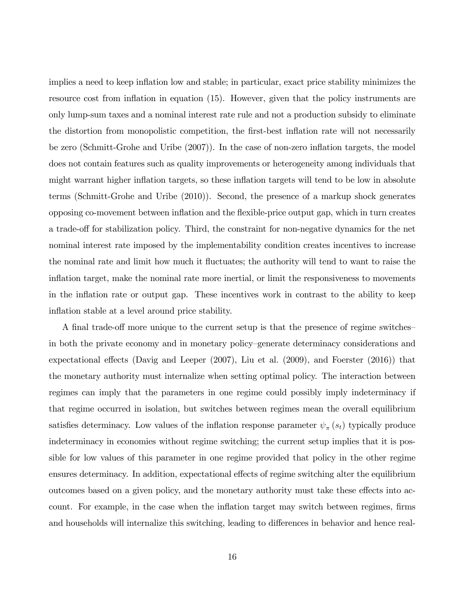implies a need to keep inflation low and stable; in particular, exact price stability minimizes the resource cost from inflation in equation [\(15\)](#page-8-1). However, given that the policy instruments are only lump-sum taxes and a nominal interest rate rule and not a production subsidy to eliminate the distortion from monopolistic competition, the first-best inflation rate will not necessarily be zero [\(Schmitt-Grohe and Uribe](#page-36-1)  $(2007)$ ). In the case of non-zero inflation targets, the model does not contain features such as quality improvements or heterogeneity among individuals that might warrant higher inflation targets, so these inflation targets will tend to be low in absolute terms [\(Schmitt-Grohe and Uribe](#page-36-9) [\(2010\)](#page-36-9)). Second, the presence of a markup shock generates opposing co-movement between ináation and the áexible-price output gap, which in turn creates a trade-off for stabilization policy. Third, the constraint for non-negative dynamics for the net nominal interest rate imposed by the implementability condition creates incentives to increase the nominal rate and limit how much it fluctuates; the authority will tend to want to raise the inflation target, make the nominal rate more inertial, or limit the responsiveness to movements in the inflation rate or output gap. These incentives work in contrast to the ability to keep inflation stable at a level around price stability.

A final trade-off more unique to the current setup is that the presence of regime switches in both the private economy and in monetary policy–generate determinacy considerations and expectational effects [\(Davig and Leeper](#page-35-7)  $(2007)$ , [Liu et al.](#page-36-10)  $(2009)$ , and [Foerster](#page-36-3)  $(2016)$ ) that the monetary authority must internalize when setting optimal policy. The interaction between regimes can imply that the parameters in one regime could possibly imply indeterminacy if that regime occurred in isolation, but switches between regimes mean the overall equilibrium satisfies determinacy. Low values of the inflation response parameter  $\psi_{\pi}(s_t)$  typically produce indeterminacy in economies without regime switching; the current setup implies that it is possible for low values of this parameter in one regime provided that policy in the other regime ensures determinacy. In addition, expectational effects of regime switching alter the equilibrium outcomes based on a given policy, and the monetary authority must take these effects into account. For example, in the case when the inflation target may switch between regimes, firms and households will internalize this switching, leading to differences in behavior and hence real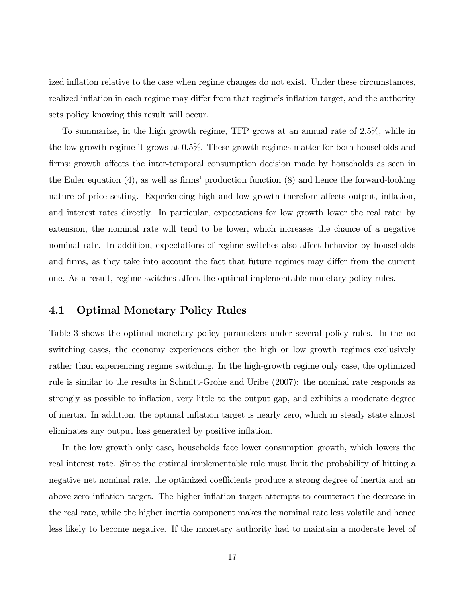ized inflation relative to the case when regime changes do not exist. Under these circumstances, realized inflation in each regime may differ from that regime's inflation target, and the authority sets policy knowing this result will occur.

To summarize, in the high growth regime, TFP grows at an annual rate of 2.5%, while in the low growth regime it grows at 0.5%. These growth regimes matter for both households and firms: growth affects the inter-temporal consumption decision made by households as seen in the Euler equation  $(4)$ , as well as firms' production function  $(8)$  and hence the forward-looking nature of price setting. Experiencing high and low growth therefore affects output, inflation, and interest rates directly. In particular, expectations for low growth lower the real rate; by extension, the nominal rate will tend to be lower, which increases the chance of a negative nominal rate. In addition, expectations of regime switches also affect behavior by households and firms, as they take into account the fact that future regimes may differ from the current one. As a result, regime switches affect the optimal implementable monetary policy rules.

#### 4.1 Optimal Monetary Policy Rules

Table [3](#page-18-0) shows the optimal monetary policy parameters under several policy rules. In the no switching cases, the economy experiences either the high or low growth regimes exclusively rather than experiencing regime switching. In the high-growth regime only case, the optimized rule is similar to the results in [Schmitt-Grohe and Uribe](#page-36-1) [\(2007\)](#page-36-1): the nominal rate responds as strongly as possible to inflation, very little to the output gap, and exhibits a moderate degree of inertia. In addition, the optimal ináation target is nearly zero, which in steady state almost eliminates any output loss generated by positive inflation.

In the low growth only case, households face lower consumption growth, which lowers the real interest rate. Since the optimal implementable rule must limit the probability of hitting a negative net nominal rate, the optimized coefficients produce a strong degree of inertia and an above-zero inflation target. The higher inflation target attempts to counteract the decrease in the real rate, while the higher inertia component makes the nominal rate less volatile and hence less likely to become negative. If the monetary authority had to maintain a moderate level of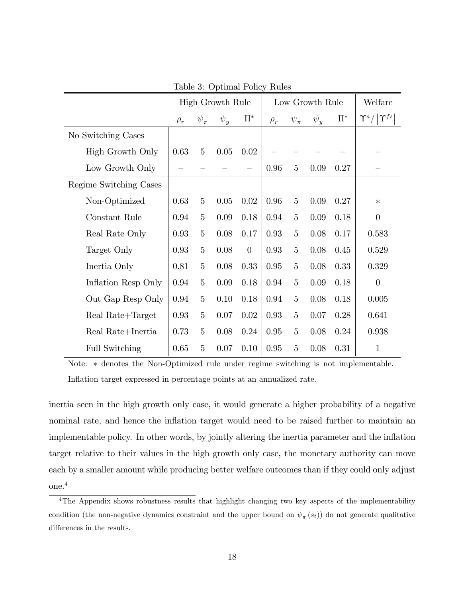|                        |          | High Growth Rule |          |          | Low Growth Rule | Welfare        |          |         |                                |
|------------------------|----------|------------------|----------|----------|-----------------|----------------|----------|---------|--------------------------------|
|                        | $\rho_r$ | $\psi_{\pi}$     | $\psi_y$ | $\Pi^*$  | $\rho_r$        | $\psi_{\pi}$   | $\psi_y$ | $\Pi^*$ | $\Upsilon^a /  \Upsilon^{fs} $ |
| No Switching Cases     |          |                  |          |          |                 |                |          |         |                                |
| High Growth Only       | 0.63     | $\overline{5}$   | 0.05     | 0.02     |                 |                |          |         |                                |
| Low Growth Only        |          |                  |          |          | 0.96            | $\overline{5}$ | 0.09     | 0.27    |                                |
| Regime Switching Cases |          |                  |          |          |                 |                |          |         |                                |
| Non-Optimized          | 0.63     | $\overline{5}$   | 0.05     | 0.02     | 0.96            | $\overline{5}$ | 0.09     | 0.27    | $\ast$                         |
| Constant Rule          | 0.94     | $5\overline{)}$  | 0.09     | 0.18     | 0.94            | $\overline{5}$ | 0.09     | 0.18    | $\theta$                       |
| Real Rate Only         | 0.93     | $\overline{5}$   | 0.08     | 0.17     | 0.93            | $\overline{5}$ | 0.08     | 0.17    | 0.583                          |
| Target Only            | 0.93     | $\overline{5}$   | 0.08     | $\theta$ | 0.93            | $\overline{5}$ | 0.08     | 0.45    | 0.529                          |
| Inertia Only           | 0.81     | $\overline{5}$   | $0.08\,$ | 0.33     | 0.95            | $\overline{5}$ | 0.08     | 0.33    | 0.329                          |
| Inflation Resp Only    | 0.94     | $\overline{5}$   | 0.09     | 0.18     | 0.94            | $\overline{5}$ | 0.09     | 0.18    | $\overline{0}$                 |
| Out Gap Resp Only      | 0.94     | $\overline{5}$   | 0.10     | 0.18     | 0.94            | $\bf 5$        | 0.08     | 0.18    | 0.005                          |
| Real Rate+Target       | 0.93     | $\overline{5}$   | 0.07     | 0.02     | 0.93            | $\overline{5}$ | 0.07     | 0.28    | 0.641                          |
| Real Rate+Inertia      | 0.73     | $\overline{5}$   | 0.08     | 0.24     | 0.95            | $\overline{5}$ | 0.08     | 0.24    | 0.938                          |
| Full Switching         | 0.65     | $\overline{5}$   | 0.07     | 0.10     | 0.95            | $\overline{5}$ | 0.08     | 0.31    | $\mathbf{1}$                   |

<span id="page-18-0"></span>Table 3: Optimal Policy Rules

Note:  $*$  denotes the Non-Optimized rule under regime switching is not implementable. Inflation target expressed in percentage points at an annualized rate.

inertia seen in the high growth only case, it would generate a higher probability of a negative nominal rate, and hence the inflation target would need to be raised further to maintain an implementable policy. In other words, by jointly altering the inertia parameter and the inflation target relative to their values in the high growth only case, the monetary authority can move each by a smaller amount while producing better welfare outcomes than if they could only adjust one.[4](#page-18-1)

<span id="page-18-1"></span><sup>&</sup>lt;sup>4</sup>The Appendix shows robustness results that highlight changing two key aspects of the implementability condition (the non-negative dynamics constraint and the upper bound on  $\psi_{\pi}(s_t)$ ) do not generate qualitative differences in the results.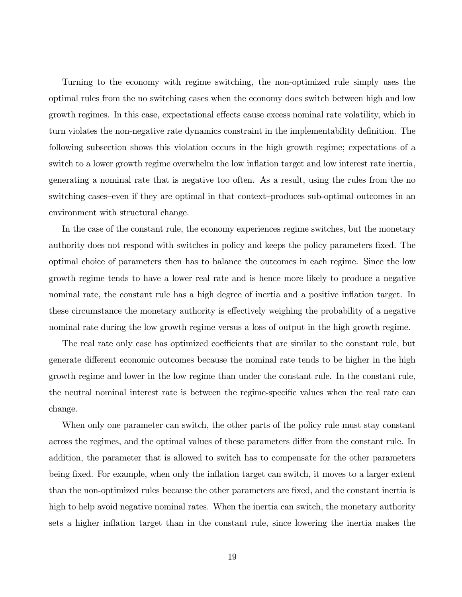Turning to the economy with regime switching, the non-optimized rule simply uses the optimal rules from the no switching cases when the economy does switch between high and low growth regimes. In this case, expectational effects cause excess nominal rate volatility, which in turn violates the non-negative rate dynamics constraint in the implementability definition. The following subsection shows this violation occurs in the high growth regime; expectations of a switch to a lower growth regime overwhelm the low inflation target and low interest rate inertia, generating a nominal rate that is negative too often. As a result, using the rules from the no switching cases–even if they are optimal in that context–produces sub-optimal outcomes in an environment with structural change.

In the case of the constant rule, the economy experiences regime switches, but the monetary authority does not respond with switches in policy and keeps the policy parameters fixed. The optimal choice of parameters then has to balance the outcomes in each regime. Since the low growth regime tends to have a lower real rate and is hence more likely to produce a negative nominal rate, the constant rule has a high degree of inertia and a positive inflation target. In these circumstance the monetary authority is effectively weighing the probability of a negative nominal rate during the low growth regime versus a loss of output in the high growth regime.

The real rate only case has optimized coefficients that are similar to the constant rule, but generate different economic outcomes because the nominal rate tends to be higher in the high growth regime and lower in the low regime than under the constant rule. In the constant rule, the neutral nominal interest rate is between the regime-specific values when the real rate can change.

When only one parameter can switch, the other parts of the policy rule must stay constant across the regimes, and the optimal values of these parameters differ from the constant rule. In addition, the parameter that is allowed to switch has to compensate for the other parameters being fixed. For example, when only the inflation target can switch, it moves to a larger extent than the non-optimized rules because the other parameters are Öxed, and the constant inertia is high to help avoid negative nominal rates. When the inertia can switch, the monetary authority sets a higher inflation target than in the constant rule, since lowering the inertia makes the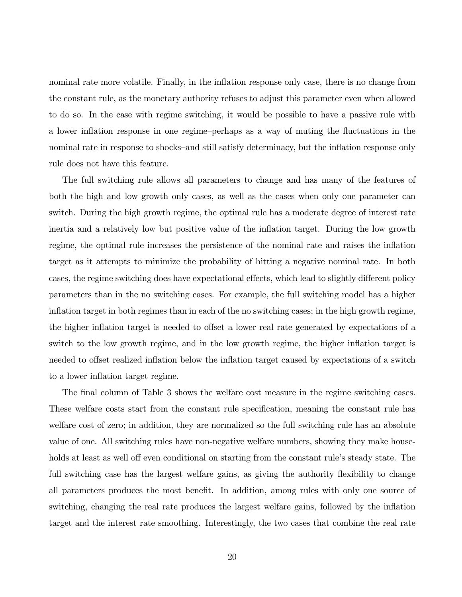nominal rate more volatile. Finally, in the inflation response only case, there is no change from the constant rule, as the monetary authority refuses to adjust this parameter even when allowed to do so. In the case with regime switching, it would be possible to have a passive rule with a lower inflation response in one regime-perhaps as a way of muting the fluctuations in the nominal rate in response to shocks–and still satisfy determinacy, but the inflation response only rule does not have this feature.

The full switching rule allows all parameters to change and has many of the features of both the high and low growth only cases, as well as the cases when only one parameter can switch. During the high growth regime, the optimal rule has a moderate degree of interest rate inertia and a relatively low but positive value of the ináation target. During the low growth regime, the optimal rule increases the persistence of the nominal rate and raises the inflation target as it attempts to minimize the probability of hitting a negative nominal rate. In both cases, the regime switching does have expectational effects, which lead to slightly different policy parameters than in the no switching cases. For example, the full switching model has a higher inflation target in both regimes than in each of the no switching cases; in the high growth regime, the higher inflation target is needed to offset a lower real rate generated by expectations of a switch to the low growth regime, and in the low growth regime, the higher inflation target is needed to offset realized inflation below the inflation target caused by expectations of a switch to a lower inflation target regime.

The final column of Table [3](#page-18-0) shows the welfare cost measure in the regime switching cases. These welfare costs start from the constant rule specification, meaning the constant rule has welfare cost of zero; in addition, they are normalized so the full switching rule has an absolute value of one. All switching rules have non-negative welfare numbers, showing they make households at least as well off even conditional on starting from the constant rule's steady state. The full switching case has the largest welfare gains, as giving the authority flexibility to change all parameters produces the most benefit. In addition, among rules with only one source of switching, changing the real rate produces the largest welfare gains, followed by the inflation target and the interest rate smoothing. Interestingly, the two cases that combine the real rate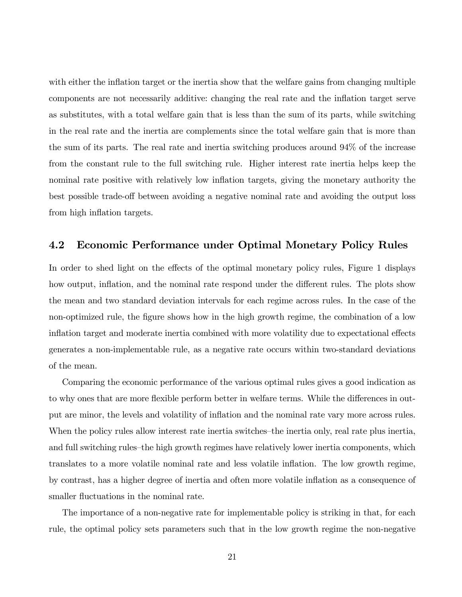with either the inflation target or the inertia show that the welfare gains from changing multiple components are not necessarily additive: changing the real rate and the inflation target serve as substitutes, with a total welfare gain that is less than the sum of its parts, while switching in the real rate and the inertia are complements since the total welfare gain that is more than the sum of its parts. The real rate and inertia switching produces around 94% of the increase from the constant rule to the full switching rule. Higher interest rate inertia helps keep the nominal rate positive with relatively low inflation targets, giving the monetary authority the best possible trade-off between avoiding a negative nominal rate and avoiding the output loss from high inflation targets.

#### 4.2 Economic Performance under Optimal Monetary Policy Rules

In order to shed light on the effects of the optimal monetary policy rules, Figure [1](#page-22-0) displays how output, inflation, and the nominal rate respond under the different rules. The plots show the mean and two standard deviation intervals for each regime across rules. In the case of the non-optimized rule, the figure shows how in the high growth regime, the combination of a low inflation target and moderate inertia combined with more volatility due to expectational effects generates a non-implementable rule, as a negative rate occurs within two-standard deviations of the mean.

Comparing the economic performance of the various optimal rules gives a good indication as to why ones that are more flexible perform better in welfare terms. While the differences in output are minor, the levels and volatility of inflation and the nominal rate vary more across rules. When the policy rules allow interest rate inertia switches—the inertia only, real rate plus inertia, and full switching rules—the high growth regimes have relatively lower inertia components, which translates to a more volatile nominal rate and less volatile inflation. The low growth regime, by contrast, has a higher degree of inertia and often more volatile inflation as a consequence of smaller fluctuations in the nominal rate.

The importance of a non-negative rate for implementable policy is striking in that, for each rule, the optimal policy sets parameters such that in the low growth regime the non-negative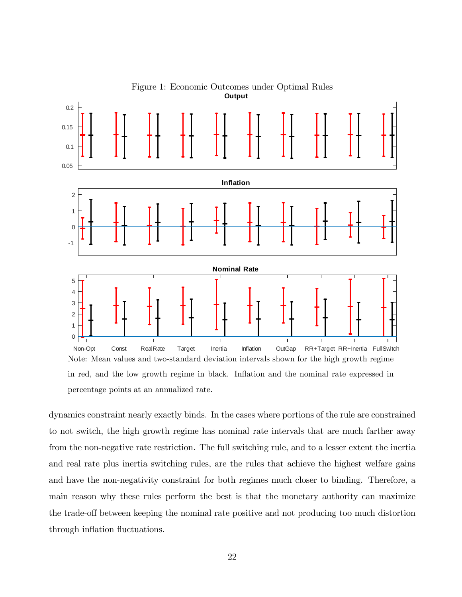<span id="page-22-0"></span>

dynamics constraint nearly exactly binds. In the cases where portions of the rule are constrained to not switch, the high growth regime has nominal rate intervals that are much farther away from the non-negative rate restriction. The full switching rule, and to a lesser extent the inertia and real rate plus inertia switching rules, are the rules that achieve the highest welfare gains and have the non-negativity constraint for both regimes much closer to binding. Therefore, a main reason why these rules perform the best is that the monetary authority can maximize the trade-off between keeping the nominal rate positive and not producing too much distortion through inflation fluctuations.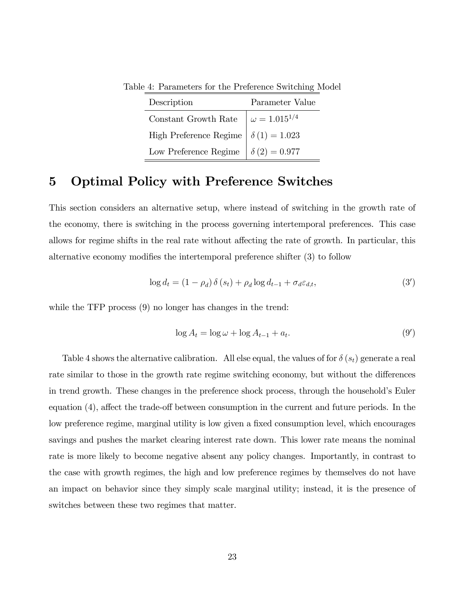<span id="page-23-1"></span>

| Description                                               | Parameter Value |
|-----------------------------------------------------------|-----------------|
| Constant Growth Rate $\omega = 1.015^{1/4}$               |                 |
| High Preference Regime $\delta(1) = 1.023$                |                 |
| Low Preference Regime $\left  \delta (2) = 0.977 \right $ |                 |

Table 4: Parameters for the Preference Switching Model

# <span id="page-23-0"></span>5 Optimal Policy with Preference Switches

This section considers an alternative setup, where instead of switching in the growth rate of the economy, there is switching in the process governing intertemporal preferences. This case allows for regime shifts in the real rate without affecting the rate of growth. In particular, this alternative economy modifies the intertemporal preference shifter  $(3)$  to follow

$$
\log d_t = (1 - \rho_d) \delta(s_t) + \rho_d \log d_{t-1} + \sigma_d \varepsilon_{d,t},\tag{3'}
$$

while the TFP process  $(9)$  no longer has changes in the trend:

$$
\log A_t = \log \omega + \log A_{t-1} + a_t. \tag{9'}
$$

Table [4](#page-23-1) shows the alternative calibration. All else equal, the values of for  $\delta(s_t)$  generate a real rate similar to those in the growth rate regime switching economy, but without the differences in trend growth. These changes in the preference shock process, through the household's Euler equation  $(4)$ , affect the trade-off between consumption in the current and future periods. In the low preference regime, marginal utility is low given a fixed consumption level, which encourages savings and pushes the market clearing interest rate down. This lower rate means the nominal rate is more likely to become negative absent any policy changes. Importantly, in contrast to the case with growth regimes, the high and low preference regimes by themselves do not have an impact on behavior since they simply scale marginal utility; instead, it is the presence of switches between these two regimes that matter.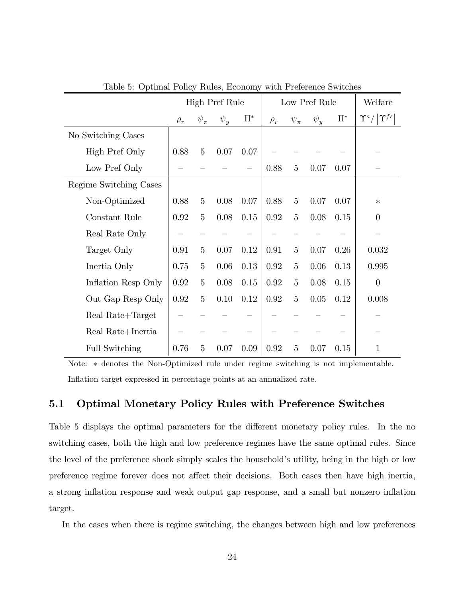|                        |          |                | <b>High Pref Rule</b> |         |          | Low Pref Rule  | Welfare  |         |                                |
|------------------------|----------|----------------|-----------------------|---------|----------|----------------|----------|---------|--------------------------------|
|                        | $\rho_r$ | $\psi_\pi$     | $\psi_u$              | $\Pi^*$ | $\rho_r$ | $\psi_{\pi}$   | $\psi_y$ | $\Pi^*$ | $\Upsilon^a /  \Upsilon^{fs} $ |
| No Switching Cases     |          |                |                       |         |          |                |          |         |                                |
| High Pref Only         | 0.88     | $\overline{5}$ | 0.07                  | 0.07    |          |                |          |         |                                |
| Low Pref Only          |          |                |                       |         | 0.88     | 5              | 0.07     | 0.07    |                                |
| Regime Switching Cases |          |                |                       |         |          |                |          |         |                                |
| Non-Optimized          | 0.88     | $\overline{5}$ | 0.08                  | 0.07    | 0.88     | $\overline{5}$ | 0.07     | 0.07    | $\ast$                         |
| Constant Rule          | 0.92     | 5              | 0.08                  | 0.15    | 0.92     | $\overline{5}$ | 0.08     | 0.15    | $\theta$                       |
| Real Rate Only         |          |                |                       |         |          |                |          |         |                                |
| Target Only            | 0.91     | 5              | 0.07                  | 0.12    | 0.91     | 5              | 0.07     | 0.26    | 0.032                          |
| Inertia Only           | 0.75     | 5              | 0.06                  | 0.13    | 0.92     | $\overline{5}$ | 0.06     | 0.13    | 0.995                          |
| Inflation Resp Only    | 0.92     | $\overline{5}$ | 0.08                  | 0.15    | 0.92     | $\overline{5}$ | 0.08     | 0.15    | $\theta$                       |
| Out Gap Resp Only      | 0.92     | 5              | 0.10                  | 0.12    | 0.92     | $\overline{5}$ | 0.05     | 0.12    | 0.008                          |
| Real Rate+Target       |          |                |                       |         |          |                |          |         |                                |
| Real Rate+Inertia      |          |                |                       |         |          |                |          |         |                                |
| <b>Full Switching</b>  | 0.76     | 5              | 0.07                  | 0.09    | 0.92     | $\overline{5}$ | 0.07     | 0.15    | 1                              |

<span id="page-24-0"></span>Table 5: Optimal Policy Rules, Economy with Preference Switches

Note:  $*$  denotes the Non-Optimized rule under regime switching is not implementable. Inflation target expressed in percentage points at an annualized rate.

#### 5.1 Optimal Monetary Policy Rules with Preference Switches

Table [5](#page-24-0) displays the optimal parameters for the different monetary policy rules. In the no switching cases, both the high and low preference regimes have the same optimal rules. Since the level of the preference shock simply scales the household's utility, being in the high or low preference regime forever does not affect their decisions. Both cases then have high inertia, a strong ináation response and weak output gap response, and a small but nonzero ináation target.

In the cases when there is regime switching, the changes between high and low preferences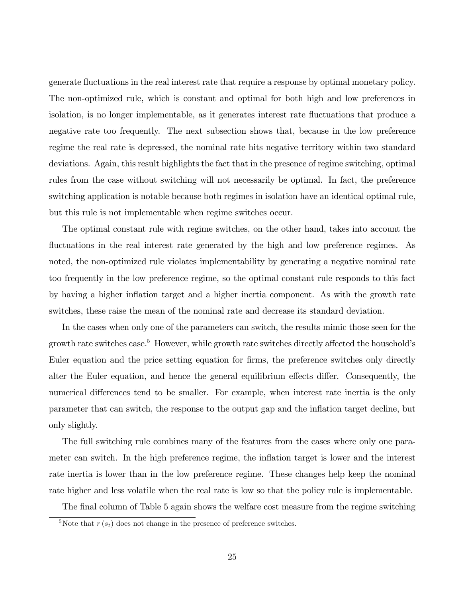generate áuctuations in the real interest rate that require a response by optimal monetary policy. The non-optimized rule, which is constant and optimal for both high and low preferences in isolation, is no longer implementable, as it generates interest rate fluctuations that produce a negative rate too frequently. The next subsection shows that, because in the low preference regime the real rate is depressed, the nominal rate hits negative territory within two standard deviations. Again, this result highlights the fact that in the presence of regime switching, optimal rules from the case without switching will not necessarily be optimal. In fact, the preference switching application is notable because both regimes in isolation have an identical optimal rule, but this rule is not implementable when regime switches occur.

The optimal constant rule with regime switches, on the other hand, takes into account the fluctuations in the real interest rate generated by the high and low preference regimes. As noted, the non-optimized rule violates implementability by generating a negative nominal rate too frequently in the low preference regime, so the optimal constant rule responds to this fact by having a higher inflation target and a higher inertia component. As with the growth rate switches, these raise the mean of the nominal rate and decrease its standard deviation.

In the cases when only one of the parameters can switch, the results mimic those seen for the growth rate switches case.<sup>[5](#page-25-0)</sup> However, while growth rate switches directly affected the household's Euler equation and the price setting equation for firms, the preference switches only directly alter the Euler equation, and hence the general equilibrium effects differ. Consequently, the numerical differences tend to be smaller. For example, when interest rate inertia is the only parameter that can switch, the response to the output gap and the ináation target decline, but only slightly.

The full switching rule combines many of the features from the cases where only one parameter can switch. In the high preference regime, the inflation target is lower and the interest rate inertia is lower than in the low preference regime. These changes help keep the nominal rate higher and less volatile when the real rate is low so that the policy rule is implementable.

The final column of Table [5](#page-24-0) again shows the welfare cost measure from the regime switching

<span id="page-25-0"></span><sup>&</sup>lt;sup>5</sup>Note that  $r(s_t)$  does not change in the presence of preference switches.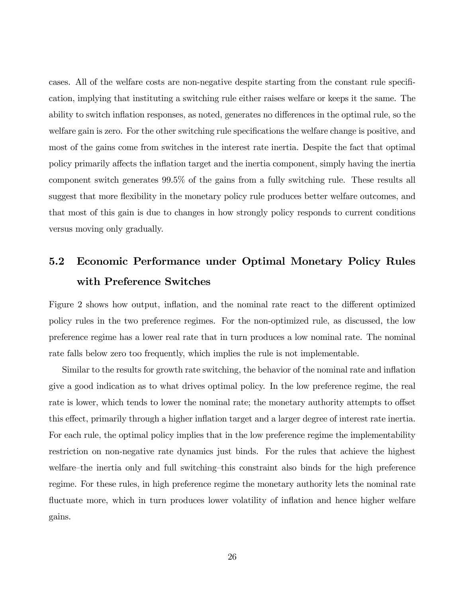cases. All of the welfare costs are non-negative despite starting from the constant rule specification, implying that instituting a switching rule either raises welfare or keeps it the same. The ability to switch inflation responses, as noted, generates no differences in the optimal rule, so the welfare gain is zero. For the other switching rule specifications the welfare change is positive, and most of the gains come from switches in the interest rate inertia. Despite the fact that optimal policy primarily affects the inflation target and the inertia component, simply having the inertia component switch generates 99.5% of the gains from a fully switching rule. These results all suggest that more flexibility in the monetary policy rule produces better welfare outcomes, and that most of this gain is due to changes in how strongly policy responds to current conditions versus moving only gradually.

# 5.2 Economic Performance under Optimal Monetary Policy Rules with Preference Switches

Figure [2](#page-27-1) shows how output, inflation, and the nominal rate react to the different optimized policy rules in the two preference regimes. For the non-optimized rule, as discussed, the low preference regime has a lower real rate that in turn produces a low nominal rate. The nominal rate falls below zero too frequently, which implies the rule is not implementable.

Similar to the results for growth rate switching, the behavior of the nominal rate and inflation give a good indication as to what drives optimal policy. In the low preference regime, the real rate is lower, which tends to lower the nominal rate; the monetary authority attempts to offset this effect, primarily through a higher inflation target and a larger degree of interest rate inertia. For each rule, the optimal policy implies that in the low preference regime the implementability restriction on non-negative rate dynamics just binds. For the rules that achieve the highest welfare—the inertia only and full switching—this constraint also binds for the high preference regime. For these rules, in high preference regime the monetary authority lets the nominal rate fluctuate more, which in turn produces lower volatility of inflation and hence higher welfare gains.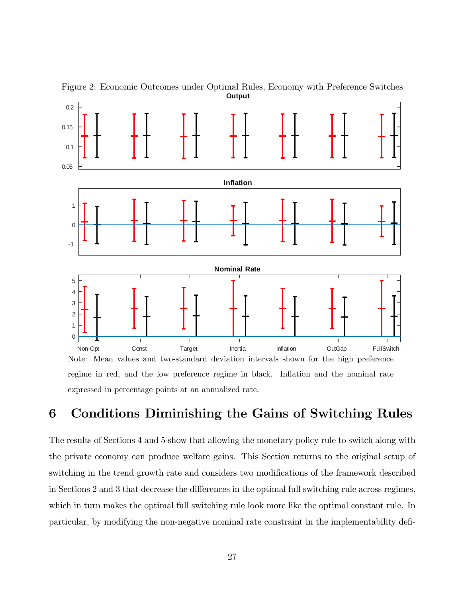

<span id="page-27-1"></span>Figure 2: Economic Outcomes under Optimal Rules, Economy with Preference Switches **Output**

# <span id="page-27-0"></span>6 Conditions Diminishing the Gains of Switching Rules

The results of Sections [4](#page-15-0) and [5](#page-23-0) show that allowing the monetary policy rule to switch along with the private economy can produce welfare gains. This Section returns to the original setup of switching in the trend growth rate and considers two modifications of the framework described in Sections [2](#page-5-0) and [3](#page-9-0) that decrease the differences in the optimal full switching rule across regimes, which in turn makes the optimal full switching rule look more like the optimal constant rule. In particular, by modifying the non-negative nominal rate constraint in the implementability defi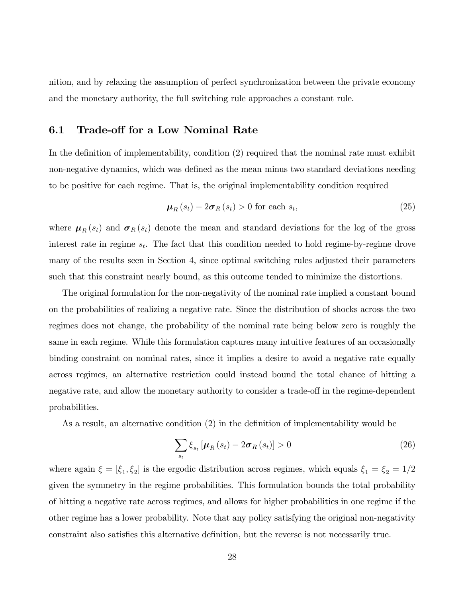nition, and by relaxing the assumption of perfect synchronization between the private economy and the monetary authority, the full switching rule approaches a constant rule.

#### 6.1 Trade-off for a Low Nominal Rate

In the definition of implementability, condition  $(2)$  required that the nominal rate must exhibit non-negative dynamics, which was defined as the mean minus two standard deviations needing to be positive for each regime. That is, the original implementability condition required

$$
\mu_R(s_t) - 2\sigma_R(s_t) > 0 \text{ for each } s_t,
$$
\n(25)

where  $\mu_R (s_t)$  and  $\sigma_R (s_t)$  denote the mean and standard deviations for the log of the gross interest rate in regime  $s_t$ . The fact that this condition needed to hold regime-by-regime drove many of the results seen in Section [4,](#page-15-0) since optimal switching rules adjusted their parameters such that this constraint nearly bound, as this outcome tended to minimize the distortions.

The original formulation for the non-negativity of the nominal rate implied a constant bound on the probabilities of realizing a negative rate. Since the distribution of shocks across the two regimes does not change, the probability of the nominal rate being below zero is roughly the same in each regime. While this formulation captures many intuitive features of an occasionally binding constraint on nominal rates, since it implies a desire to avoid a negative rate equally across regimes, an alternative restriction could instead bound the total chance of hitting a negative rate, and allow the monetary authority to consider a trade-off in the regime-dependent probabilities.

As a result, an alternative condition  $(2)$  in the definition of implementability would be

$$
\sum_{s_t} \xi_{s_t} \left[ \mu_R(s_t) - 2 \sigma_R(s_t) \right] > 0 \tag{26}
$$

where again  $\xi = [\xi_1, \xi_2]$  is the ergodic distribution across regimes, which equals  $\xi_1 = \xi_2 = 1/2$ given the symmetry in the regime probabilities. This formulation bounds the total probability of hitting a negative rate across regimes, and allows for higher probabilities in one regime if the other regime has a lower probability. Note that any policy satisfying the original non-negativity constraint also satisfies this alternative definition, but the reverse is not necessarily true.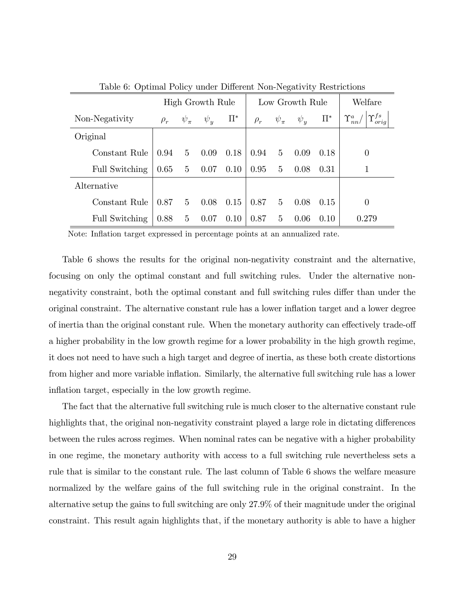|                |          | High Growth Rule |          |         | Low Growth Rule | Welfare        |          |         |                                                                |
|----------------|----------|------------------|----------|---------|-----------------|----------------|----------|---------|----------------------------------------------------------------|
| Non-Negativity | $\rho_r$ | $\psi_{\pi}$     | $\psi_u$ | $\Pi^*$ | $\rho_r$        | $\psi_{\pi}$   | $\psi_u$ | $\Pi^*$ | ${}^{\mathfrak l}\Upsilon_{orig}^{fs}  $<br>$\Upsilon^a_{nn}/$ |
| Original       |          |                  |          |         |                 |                |          |         |                                                                |
| Constant Rule  | 0.94     | 5 <sup>5</sup>   | 0.09     | 0.18    | $0.94\,$        | $\overline{5}$ | 0.09     | 0.18    | 0                                                              |
| Full Switching | 0.65     | $5\overline{)}$  | 0.07     | 0.10    | 0.95            | $\overline{5}$ | 0.08     | 0.31    |                                                                |
| Alternative    |          |                  |          |         |                 |                |          |         |                                                                |
| Constant Rule  | 0.87     | $5^{\circ}$      | 0.08     | 0.15    | 0.87            | $5^{\circ}$    | 0.08     | 0.15    | 0                                                              |
| Full Switching | 0.88     | 5 <sub>5</sub>   | 0.07     | 0.10    | 0.87            | $\overline{5}$ | 0.06     | 0.10    | 0.279                                                          |

<span id="page-29-0"></span>Table 6: Optimal Policy under Different Non-Negativity Restrictions

Note: Inflation target expressed in percentage points at an annualized rate.

Table [6](#page-29-0) shows the results for the original non-negativity constraint and the alternative, focusing on only the optimal constant and full switching rules. Under the alternative nonnegativity constraint, both the optimal constant and full switching rules differ than under the original constraint. The alternative constant rule has a lower inflation target and a lower degree of inertia than the original constant rule. When the monetary authority can effectively trade-off a higher probability in the low growth regime for a lower probability in the high growth regime, it does not need to have such a high target and degree of inertia, as these both create distortions from higher and more variable inflation. Similarly, the alternative full switching rule has a lower inflation target, especially in the low growth regime.

The fact that the alternative full switching rule is much closer to the alternative constant rule highlights that, the original non-negativity constraint played a large role in dictating differences between the rules across regimes. When nominal rates can be negative with a higher probability in one regime, the monetary authority with access to a full switching rule nevertheless sets a rule that is similar to the constant rule. The last column of Table [6](#page-29-0) shows the welfare measure normalized by the welfare gains of the full switching rule in the original constraint. In the alternative setup the gains to full switching are only 27.9% of their magnitude under the original constraint. This result again highlights that, if the monetary authority is able to have a higher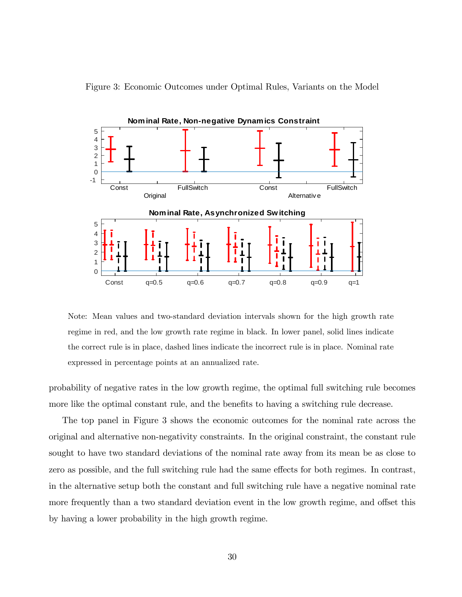<span id="page-30-0"></span>



Note: Mean values and two-standard deviation intervals shown for the high growth rate regime in red, and the low growth rate regime in black. In lower panel, solid lines indicate the correct rule is in place, dashed lines indicate the incorrect rule is in place. Nominal rate expressed in percentage points at an annualized rate.

probability of negative rates in the low growth regime, the optimal full switching rule becomes more like the optimal constant rule, and the benefits to having a switching rule decrease.

The top panel in Figure [3](#page-30-0) shows the economic outcomes for the nominal rate across the original and alternative non-negativity constraints. In the original constraint, the constant rule sought to have two standard deviations of the nominal rate away from its mean be as close to zero as possible, and the full switching rule had the same effects for both regimes. In contrast, in the alternative setup both the constant and full switching rule have a negative nominal rate more frequently than a two standard deviation event in the low growth regime, and offset this by having a lower probability in the high growth regime.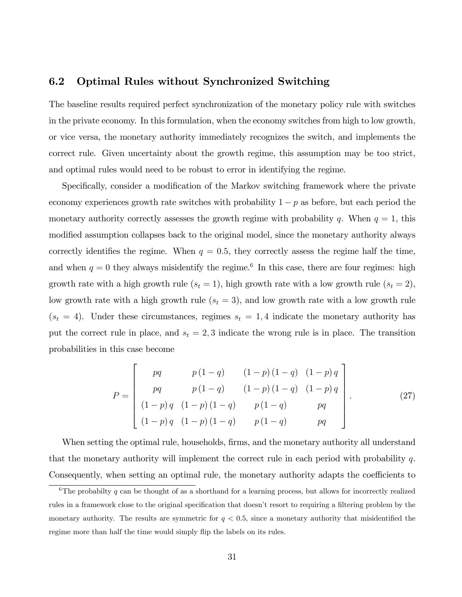#### 6.2 Optimal Rules without Synchronized Switching

The baseline results required perfect synchronization of the monetary policy rule with switches in the private economy. In this formulation, when the economy switches from high to low growth, or vice versa, the monetary authority immediately recognizes the switch, and implements the correct rule. Given uncertainty about the growth regime, this assumption may be too strict, and optimal rules would need to be robust to error in identifying the regime.

Specifically, consider a modification of the Markov switching framework where the private economy experiences growth rate switches with probability  $1 - p$  as before, but each period the monetary authority correctly assesses the growth regime with probability q. When  $q = 1$ , this modified assumption collapses back to the original model, since the monetary authority always correctly identifies the regime. When  $q = 0.5$ , they correctly assess the regime half the time, and when  $q = 0$  they always misidentify the regime.<sup>[6](#page-31-0)</sup> In this case, there are four regimes: high growth rate with a high growth rule  $(s_t = 1)$ , high growth rate with a low growth rule  $(s_t = 2)$ , low growth rate with a high growth rule  $(s_t = 3)$ , and low growth rate with a low growth rule  $(s_t = 4)$ . Under these circumstances, regimes  $s_t = 1, 4$  indicate the monetary authority has put the correct rule in place, and  $s_t = 2, 3$  indicate the wrong rule is in place. The transition probabilities in this case become

$$
P = \begin{bmatrix} pq & p(1-q) & (1-p)(1-q) & (1-p)q \ pq & p(1-q) & (1-p)(1-q) & (1-p)q \ (1-p)q & (1-p)(1-q) & p(1-q) & pq \ (1-p)q & (1-p)(1-q) & p(1-q) & pq \end{bmatrix}.
$$
 (27)

When setting the optimal rule, households, firms, and the monetary authority all understand that the monetary authority will implement the correct rule in each period with probability  $q$ . Consequently, when setting an optimal rule, the monetary authority adapts the coefficients to

<span id="page-31-0"></span><sup>&</sup>lt;sup>6</sup>The probabilty q can be thought of as a shorthand for a learning process, but allows for incorrectly realized rules in a framework close to the original specification that doesn't resort to requiring a filtering problem by the monetary authority. The results are symmetric for  $q < 0.5$ , since a monetary authority that misidentified the regime more than half the time would simply flip the labels on its rules.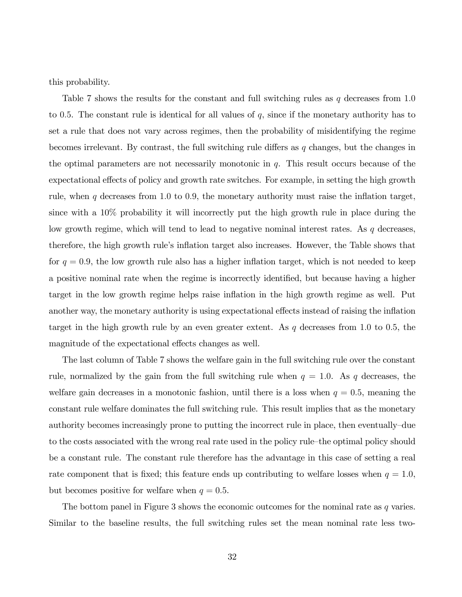this probability.

Table [7](#page-33-0) shows the results for the constant and full switching rules as  $q$  decreases from 1.0 to 0.5. The constant rule is identical for all values of  $q$ , since if the monetary authority has to set a rule that does not vary across regimes, then the probability of misidentifying the regime becomes irrelevant. By contrast, the full switching rule differs as  $q$  changes, but the changes in the optimal parameters are not necessarily monotonic in  $q$ . This result occurs because of the expectational effects of policy and growth rate switches. For example, in setting the high growth rule, when  $q$  decreases from 1.0 to 0.9, the monetary authority must raise the inflation target, since with a 10% probability it will incorrectly put the high growth rule in place during the low growth regime, which will tend to lead to negative nominal interest rates. As  $q$  decreases, therefore, the high growth rule's inflation target also increases. However, the Table shows that for  $q = 0.9$ , the low growth rule also has a higher inflation target, which is not needed to keep a positive nominal rate when the regime is incorrectly identified, but because having a higher target in the low growth regime helps raise inflation in the high growth regime as well. Put another way, the monetary authority is using expectational effects instead of raising the inflation target in the high growth rule by an even greater extent. As  $q$  decreases from 1.0 to 0.5, the magnitude of the expectational effects changes as well.

The last column of Table [7](#page-33-0) shows the welfare gain in the full switching rule over the constant rule, normalized by the gain from the full switching rule when  $q = 1.0$ . As q decreases, the welfare gain decreases in a monotonic fashion, until there is a loss when  $q = 0.5$ , meaning the constant rule welfare dominates the full switching rule. This result implies that as the monetary authority becomes increasingly prone to putting the incorrect rule in place, then eventually-due to the costs associated with the wrong real rate used in the policy rule–the optimal policy should be a constant rule. The constant rule therefore has the advantage in this case of setting a real rate component that is fixed; this feature ends up contributing to welfare losses when  $q = 1.0$ , but becomes positive for welfare when  $q = 0.5$ .

The bottom panel in Figure [3](#page-30-0) shows the economic outcomes for the nominal rate as  $q$  varies. Similar to the baseline results, the full switching rules set the mean nominal rate less two-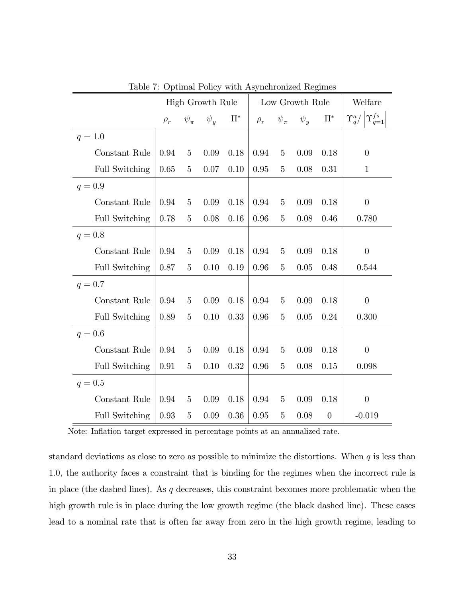|                       |          | <b>High Growth Rule</b> |          |         | Low Growth Rule | Welfare        |          |          |                                                 |
|-----------------------|----------|-------------------------|----------|---------|-----------------|----------------|----------|----------|-------------------------------------------------|
|                       | $\rho_r$ | $\psi_\pi$              | $\psi_y$ | $\Pi^*$ | $\rho_r$        | $\psi_\pi$     | $\psi_y$ | $\Pi^*$  | $\Upsilon_q^a/\left \Upsilon_{q=1}^{fs}\right $ |
| $q = 1.0$             |          |                         |          |         |                 |                |          |          |                                                 |
| Constant Rule         | 0.94     | $\overline{5}$          | 0.09     | 0.18    | 0.94            | $\overline{5}$ | 0.09     | 0.18     | $\theta$                                        |
| <b>Full Switching</b> | 0.65     | $\overline{5}$          | 0.07     | 0.10    | 0.95            | $\overline{5}$ | 0.08     | 0.31     | $\mathbf{1}$                                    |
| $q = 0.9$             |          |                         |          |         |                 |                |          |          |                                                 |
| Constant Rule         | 0.94     | $\overline{5}$          | 0.09     | 0.18    | 0.94            | 5              | 0.09     | 0.18     | $\overline{0}$                                  |
| <b>Full Switching</b> | 0.78     | 5                       | 0.08     | 0.16    | 0.96            | $\overline{5}$ | 0.08     | 0.46     | 0.780                                           |
| $q = 0.8$             |          |                         |          |         |                 |                |          |          |                                                 |
| Constant Rule         | 0.94     | $\overline{5}$          | 0.09     | 0.18    | 0.94            | $\overline{5}$ | 0.09     | 0.18     | $\boldsymbol{0}$                                |
| <b>Full Switching</b> | 0.87     | $\overline{5}$          | 0.10     | 0.19    | 0.96            | $\overline{5}$ | 0.05     | 0.48     | 0.544                                           |
| $q = 0.7$             |          |                         |          |         |                 |                |          |          |                                                 |
| Constant Rule         | 0.94     | $\overline{5}$          | 0.09     | 0.18    | 0.94            | $\overline{5}$ | 0.09     | 0.18     | $\overline{0}$                                  |
| <b>Full Switching</b> | 0.89     | 5                       | 0.10     | 0.33    | 0.96            | 5              | 0.05     | 0.24     | 0.300                                           |
| $q = 0.6$             |          |                         |          |         |                 |                |          |          |                                                 |
| Constant Rule         | 0.94     | 5                       | 0.09     | 0.18    | 0.94            | $\overline{5}$ | 0.09     | 0.18     | $\theta$                                        |
| <b>Full Switching</b> | 0.91     | 5                       | 0.10     | 0.32    | 0.96            | $\overline{5}$ | 0.08     | 0.15     | 0.098                                           |
| $q = 0.5$             |          |                         |          |         |                 |                |          |          |                                                 |
| Constant Rule         | 0.94     | 5                       | 0.09     | 0.18    | 0.94            | $\overline{5}$ | 0.09     | 0.18     | $\overline{0}$                                  |
| <b>Full Switching</b> | 0.93     | $\overline{5}$          | 0.09     | 0.36    | 0.95            | $\overline{5}$ | 0.08     | $\theta$ | $-0.019$                                        |

<span id="page-33-0"></span>Table 7: Optimal Policy with Asynchronized Regimes

Note: Inflation target expressed in percentage points at an annualized rate.

standard deviations as close to zero as possible to minimize the distortions. When  $q$  is less than 1:0, the authority faces a constraint that is binding for the regimes when the incorrect rule is in place (the dashed lines). As  $q$  decreases, this constraint becomes more problematic when the high growth rule is in place during the low growth regime (the black dashed line). These cases lead to a nominal rate that is often far away from zero in the high growth regime, leading to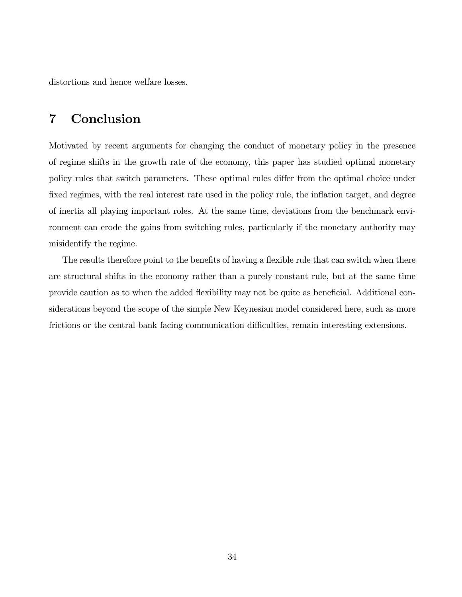distortions and hence welfare losses.

# <span id="page-34-0"></span>7 Conclusion

Motivated by recent arguments for changing the conduct of monetary policy in the presence of regime shifts in the growth rate of the economy, this paper has studied optimal monetary policy rules that switch parameters. These optimal rules differ from the optimal choice under fixed regimes, with the real interest rate used in the policy rule, the inflation target, and degree of inertia all playing important roles. At the same time, deviations from the benchmark environment can erode the gains from switching rules, particularly if the monetary authority may misidentify the regime.

The results therefore point to the benefits of having a flexible rule that can switch when there are structural shifts in the economy rather than a purely constant rule, but at the same time provide caution as to when the added flexibility may not be quite as beneficial. Additional considerations beyond the scope of the simple New Keynesian model considered here, such as more frictions or the central bank facing communication difficulties, remain interesting extensions.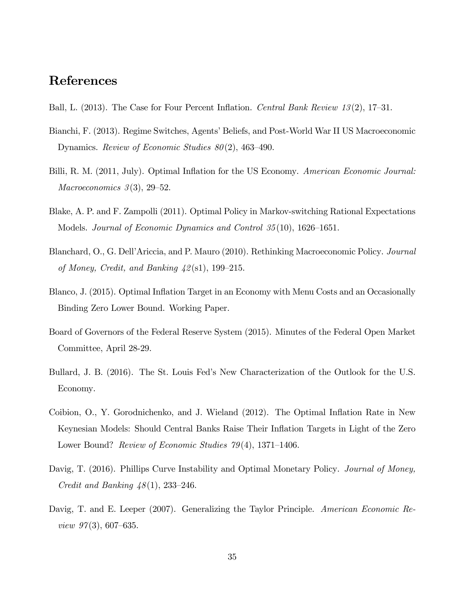# References

- <span id="page-35-3"></span>Ball, L. (2013). The Case for Four Percent Inflation. Central Bank Review 13(2), 17–31.
- <span id="page-35-8"></span>Bianchi, F. (2013). Regime Switches, Agents' Beliefs, and Post-World War II US Macroeconomic Dynamics. Review of Economic Studies  $80(2)$ , 463-490.
- <span id="page-35-4"></span>Billi, R. M. (2011, July). Optimal Inflation for the US Economy. American Economic Journal: Macroeconomics  $3(3)$ ,  $29-52$ .
- <span id="page-35-9"></span>Blake, A. P. and F. Zampolli (2011). Optimal Policy in Markov-switching Rational Expectations Models. Journal of Economic Dynamics and Control  $35(10)$ ,  $1626-1651$ .
- <span id="page-35-2"></span>Blanchard, O., G. Dell'Ariccia, and P. Mauro (2010). Rethinking Macroeconomic Policy. Journal of Money, Credit, and Banking  $\frac{1}{2}$ (s1), 199–215.
- <span id="page-35-6"></span>Blanco, J. (2015). Optimal Inflation Target in an Economy with Menu Costs and an Occasionally Binding Zero Lower Bound. Working Paper.
- <span id="page-35-0"></span>Board of Governors of the Federal Reserve System (2015). Minutes of the Federal Open Market Committee, April 28-29.
- <span id="page-35-1"></span>Bullard, J. B. (2016). The St. Louis Fedís New Characterization of the Outlook for the U.S. Economy.
- <span id="page-35-5"></span>Coibion, O., Y. Gorodnichenko, and J. Wieland (2012). The Optimal Inflation Rate in New Keynesian Models: Should Central Banks Raise Their Inflation Targets in Light of the Zero Lower Bound? Review of Economic Studies  $79(4)$ , 1371–1406.
- <span id="page-35-10"></span>Davig, T. (2016). Phillips Curve Instability and Optimal Monetary Policy. *Journal of Money*, Credit and Banking  $\frac{1}{8}(1)$ , 233–246.
- <span id="page-35-7"></span>Davig, T. and E. Leeper (2007). Generalizing the Taylor Principle. American Economic Review  $97(3)$ , 607–635.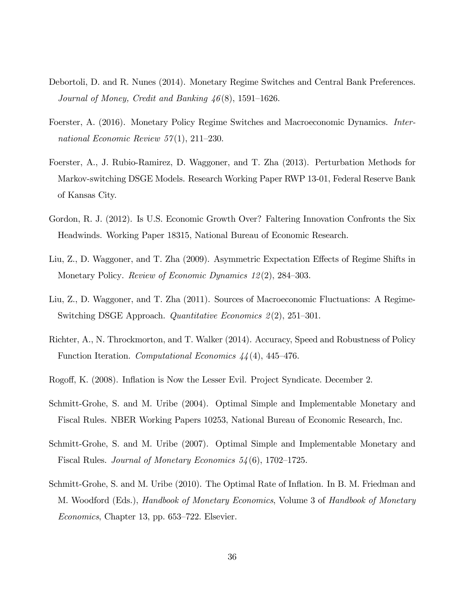- <span id="page-36-4"></span>Debortoli, D. and R. Nunes (2014). Monetary Regime Switches and Central Bank Preferences. Journal of Money, Credit and Banking  $46(8)$ , 1591–1626.
- <span id="page-36-3"></span>Foerster, A. (2016). Monetary Policy Regime Switches and Macroeconomic Dynamics. International Economic Review  $57(1)$ , 211–230.
- <span id="page-36-6"></span>Foerster, A., J. Rubio-Ramirez, D. Waggoner, and T. Zha (2013). Perturbation Methods for Markov-switching DSGE Models. Research Working Paper RWP 13-01, Federal Reserve Bank of Kansas City.
- <span id="page-36-5"></span>Gordon, R. J. (2012). Is U.S. Economic Growth Over? Faltering Innovation Confronts the Six Headwinds. Working Paper 18315, National Bureau of Economic Research.
- <span id="page-36-10"></span>Liu, Z., D. Waggoner, and T. Zha (2009). Asymmetric Expectation Effects of Regime Shifts in Monetary Policy. Review of Economic Dynamics  $12(2)$ , 284–303.
- <span id="page-36-2"></span>Liu, Z., D. Waggoner, and T. Zha (2011). Sources of Macroeconomic Fluctuations: A Regime-Switching DSGE Approach. Quantitative Economics  $2(2)$ , 251–301.
- <span id="page-36-7"></span>Richter, A., N. Throckmorton, and T. Walker (2014). Accuracy, Speed and Robustness of Policy Function Iteration. Computational Economics  $44(4)$ , 445–476.
- <span id="page-36-0"></span>Rogoff, K. (2008). Inflation is Now the Lesser Evil. Project Syndicate. December 2.
- <span id="page-36-8"></span>Schmitt-Grohe, S. and M. Uribe (2004). Optimal Simple and Implementable Monetary and Fiscal Rules. NBER Working Papers 10253, National Bureau of Economic Research, Inc.
- <span id="page-36-1"></span>Schmitt-Grohe, S. and M. Uribe (2007). Optimal Simple and Implementable Monetary and Fiscal Rules. Journal of Monetary Economics  $54(6)$ , 1702–1725.
- <span id="page-36-9"></span>Schmitt-Grohe, S. and M. Uribe (2010). The Optimal Rate of Ináation. In B. M. Friedman and M. Woodford (Eds.), Handbook of Monetary Economics, Volume 3 of Handbook of Monetary  $Economics$ , Chapter 13, pp. 653–722. Elsevier.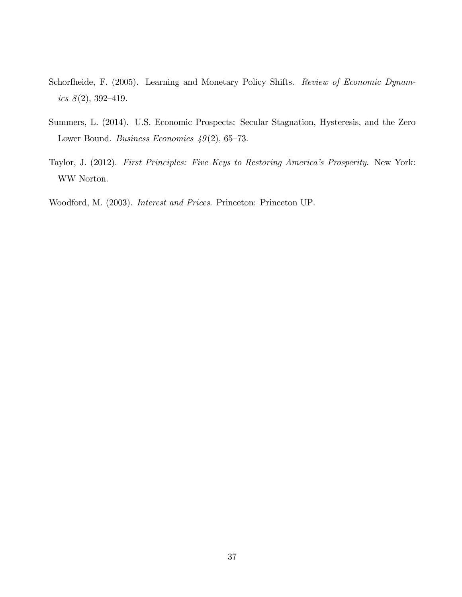- <span id="page-37-1"></span>Schorfheide, F. (2005). Learning and Monetary Policy Shifts. Review of Economic Dynamics  $8(2)$ , 392-419.
- <span id="page-37-3"></span>Summers, L. (2014). U.S. Economic Prospects: Secular Stagnation, Hysteresis, and the Zero Lower Bound. Business Economics  $49(2)$ , 65–73.
- <span id="page-37-0"></span>Taylor, J. (2012). First Principles: Five Keys to Restoring America's Prosperity. New York: WW Norton.

<span id="page-37-2"></span>Woodford, M. (2003). Interest and Prices. Princeton: Princeton UP.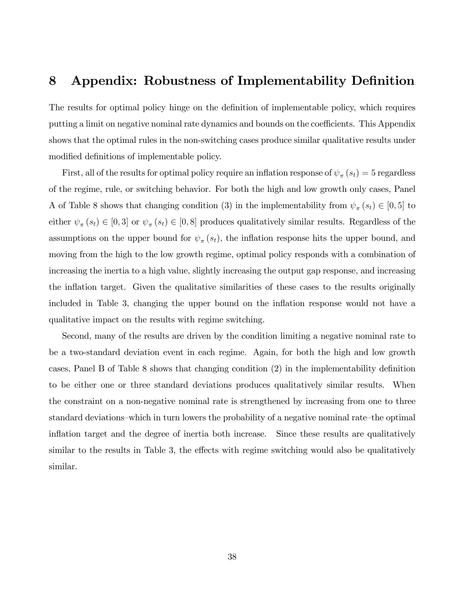## 8 Appendix: Robustness of Implementability Definition

The results for optimal policy hinge on the definition of implementable policy, which requires putting a limit on negative nominal rate dynamics and bounds on the coefficients. This Appendix shows that the optimal rules in the non-switching cases produce similar qualitative results under modified definitions of implementable policy.

First, all of the results for optimal policy require an inflation response of  $\psi_{\pi}(s_t) = 5$  regardless of the regime, rule, or switching behavior. For both the high and low growth only cases, Panel A of Table [8](#page-39-0) shows that changing condition (3) in the implementability from  $\psi_{\pi}(s_t) \in [0, 5]$  to either  $\psi_{\pi}(s_t) \in [0,3]$  or  $\psi_{\pi}(s_t) \in [0,8]$  produces qualitatively similar results. Regardless of the assumptions on the upper bound for  $\psi_{\pi}(s_t)$ , the inflation response hits the upper bound, and moving from the high to the low growth regime, optimal policy responds with a combination of increasing the inertia to a high value, slightly increasing the output gap response, and increasing the inflation target. Given the qualitative similarities of these cases to the results originally included in Table [3,](#page-18-0) changing the upper bound on the inflation response would not have a qualitative impact on the results with regime switching.

Second, many of the results are driven by the condition limiting a negative nominal rate to be a two-standard deviation event in each regime. Again, for both the high and low growth cases, Panel B of Table [8](#page-39-0) shows that changing condition  $(2)$  in the implementability definition to be either one or three standard deviations produces qualitatively similar results. When the constraint on a non-negative nominal rate is strengthened by increasing from one to three standard deviations—which in turn lowers the probability of a negative nominal rate—the optimal inflation target and the degree of inertia both increase. Since these results are qualitatively similar to the results in Table [3,](#page-18-0) the effects with regime switching would also be qualitatively similar.